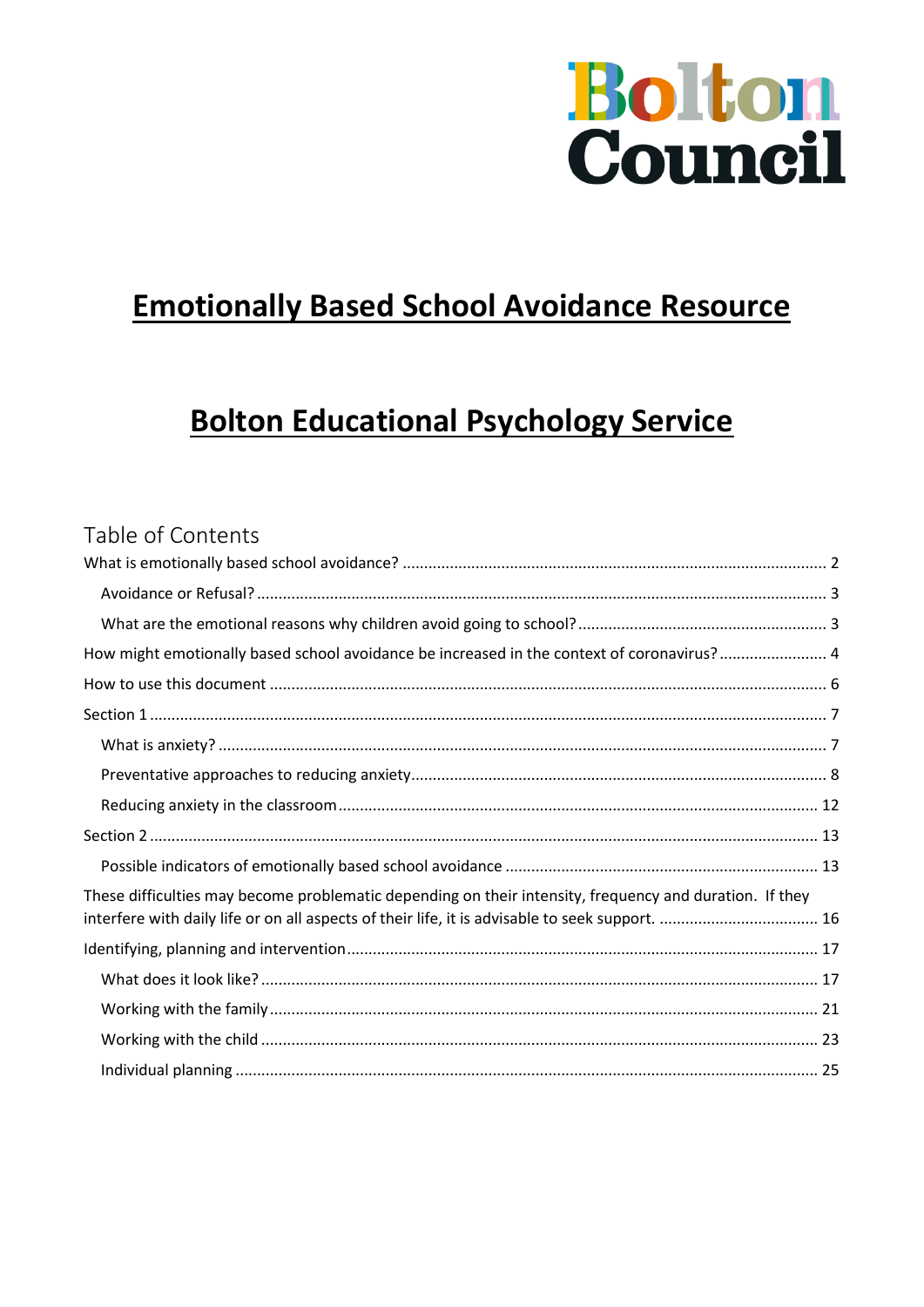

# **Emotionally Based School Avoidance Resource**

# **Bolton Educational Psychology Service**

### Table of Contents

| How might emotionally based school avoidance be increased in the context of coronavirus? 4                                                                                                                 |  |
|------------------------------------------------------------------------------------------------------------------------------------------------------------------------------------------------------------|--|
|                                                                                                                                                                                                            |  |
|                                                                                                                                                                                                            |  |
|                                                                                                                                                                                                            |  |
|                                                                                                                                                                                                            |  |
|                                                                                                                                                                                                            |  |
|                                                                                                                                                                                                            |  |
|                                                                                                                                                                                                            |  |
|                                                                                                                                                                                                            |  |
| These difficulties may become problematic depending on their intensity, frequency and duration. If they<br>interfere with daily life or on all aspects of their life, it is advisable to seek support.  16 |  |
|                                                                                                                                                                                                            |  |
|                                                                                                                                                                                                            |  |
|                                                                                                                                                                                                            |  |
|                                                                                                                                                                                                            |  |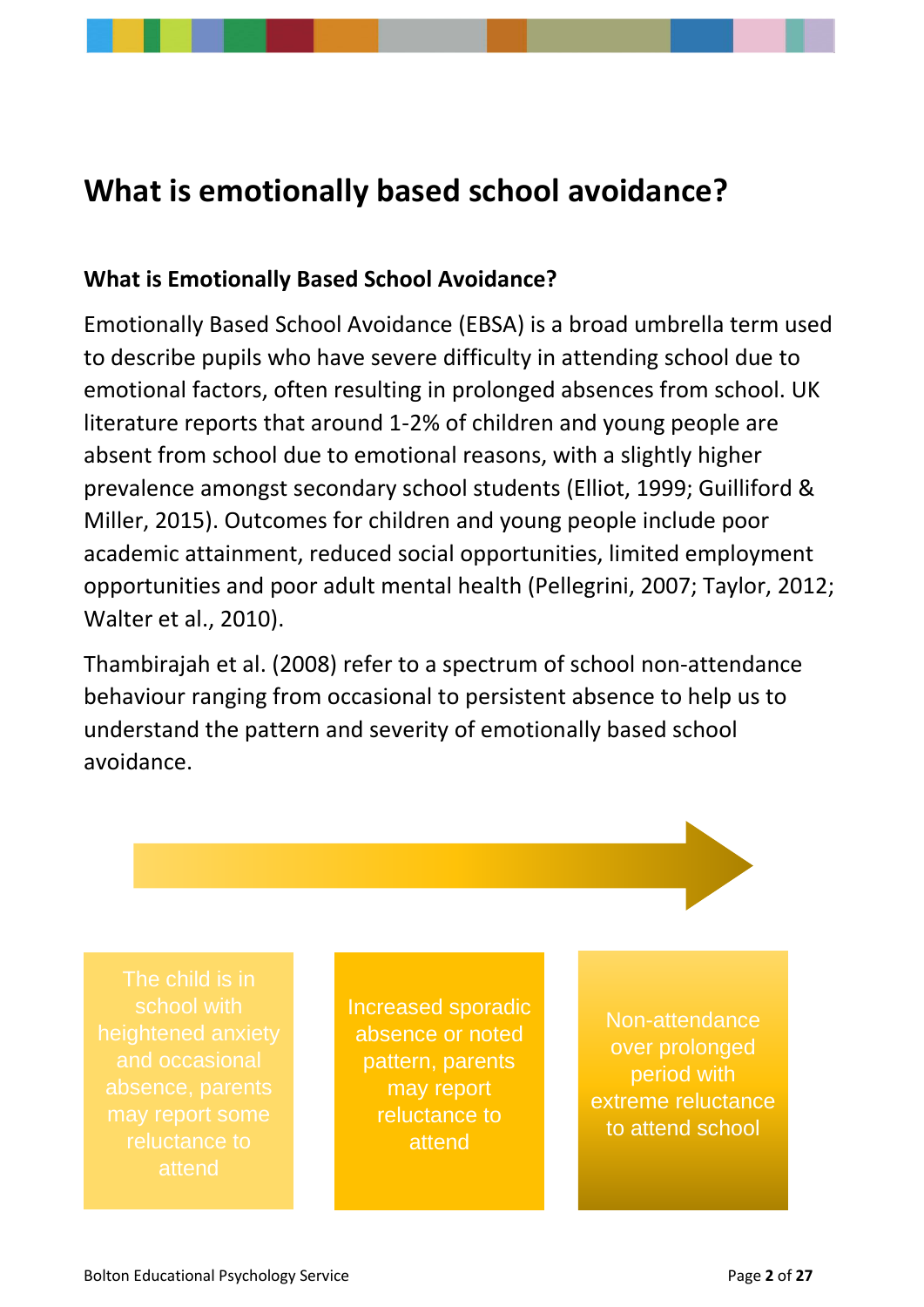# <span id="page-1-0"></span>**What is emotionally based school avoidance?**

#### **What is Emotionally Based School Avoidance?**

Emotionally Based School Avoidance (EBSA) is a broad umbrella term used to describe pupils who have severe difficulty in attending school due to emotional factors, often resulting in prolonged absences from school. UK literature reports that around 1-2% of children and young people are absent from school due to emotional reasons, with a slightly higher prevalence amongst secondary school students (Elliot, 1999; Guilliford & Miller, 2015). Outcomes for children and young people include poor academic attainment, reduced social opportunities, limited employment opportunities and poor adult mental health (Pellegrini, 2007; Taylor, 2012; Walter et al., 2010).

Thambirajah et al. (2008) refer to a spectrum of school non-attendance behaviour ranging from occasional to persistent absence to help us to understand the pattern and severity of emotionally based school avoidance.

Increased sporadic absence or noted pattern, parents may report reluctance to attend

Non-attendance over prolonged period with extreme reluctance to attend school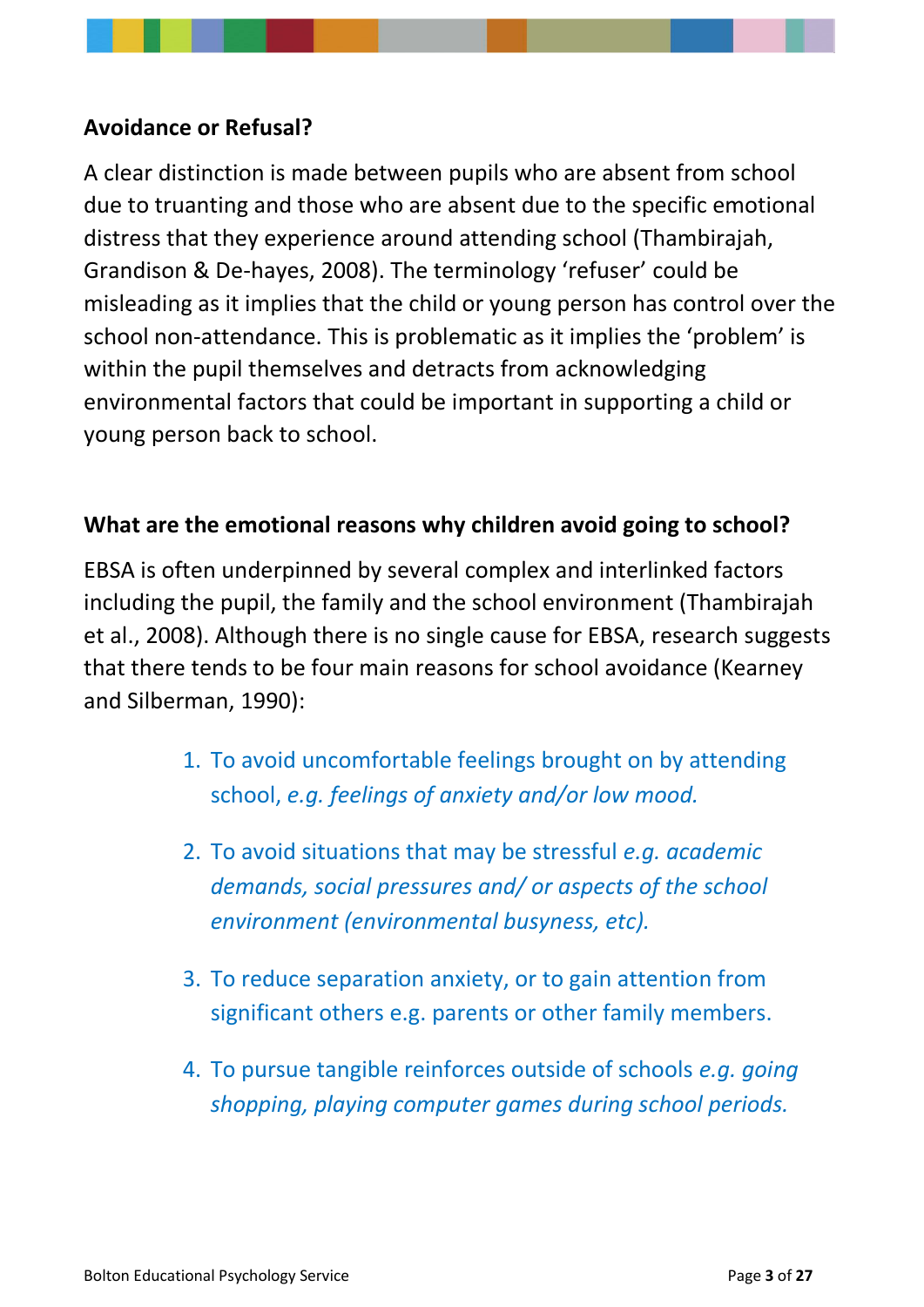#### <span id="page-2-0"></span>**Avoidance or Refusal?**

A clear distinction is made between pupils who are absent from school due to truanting and those who are absent due to the specific emotional distress that they experience around attending school (Thambirajah, Grandison & De-hayes, 2008). The terminology 'refuser' could be misleading as it implies that the child or young person has control over the school non-attendance. This is problematic as it implies the 'problem' is within the pupil themselves and detracts from acknowledging environmental factors that could be important in supporting a child or young person back to school.

### <span id="page-2-1"></span>**What are the emotional reasons why children avoid going to school?**

EBSA is often underpinned by several complex and interlinked factors including the pupil, the family and the school environment (Thambirajah et al., 2008). Although there is no single cause for EBSA, research suggests that there tends to be four main reasons for school avoidance (Kearney and Silberman, 1990):

- 1. To avoid uncomfortable feelings brought on by attending school, *e.g. feelings of anxiety and/or low mood.*
- 2. To avoid situations that may be stressful *e.g. academic demands, social pressures and/ or aspects of the school environment (environmental busyness, etc).*
- 3. To reduce separation anxiety, or to gain attention from significant others e.g. parents or other family members.
- 4. To pursue tangible reinforces outside of schools *e.g. going shopping, playing computer games during school periods.*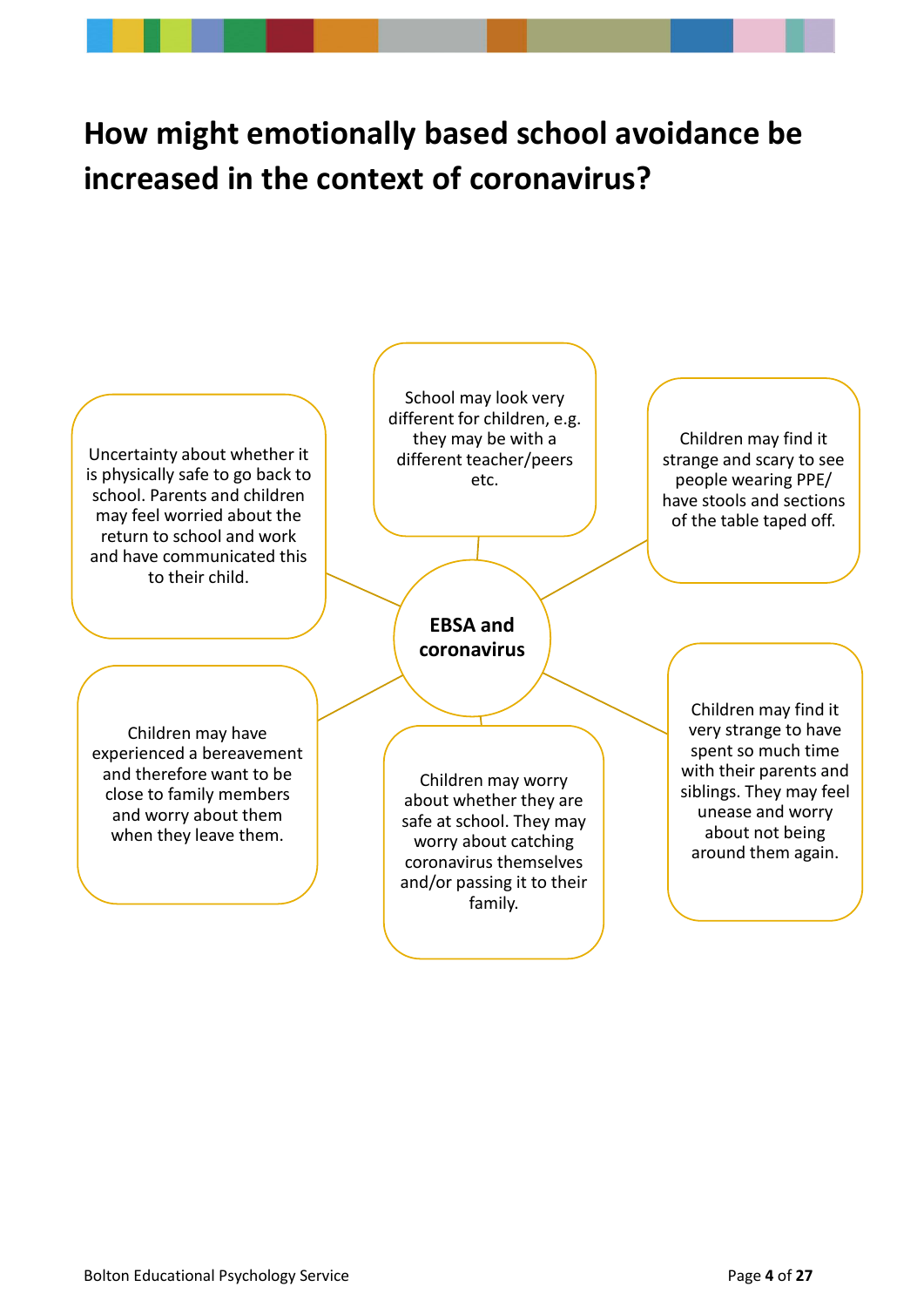# <span id="page-3-0"></span>**How might emotionally based school avoidance be increased in the context of coronavirus?**

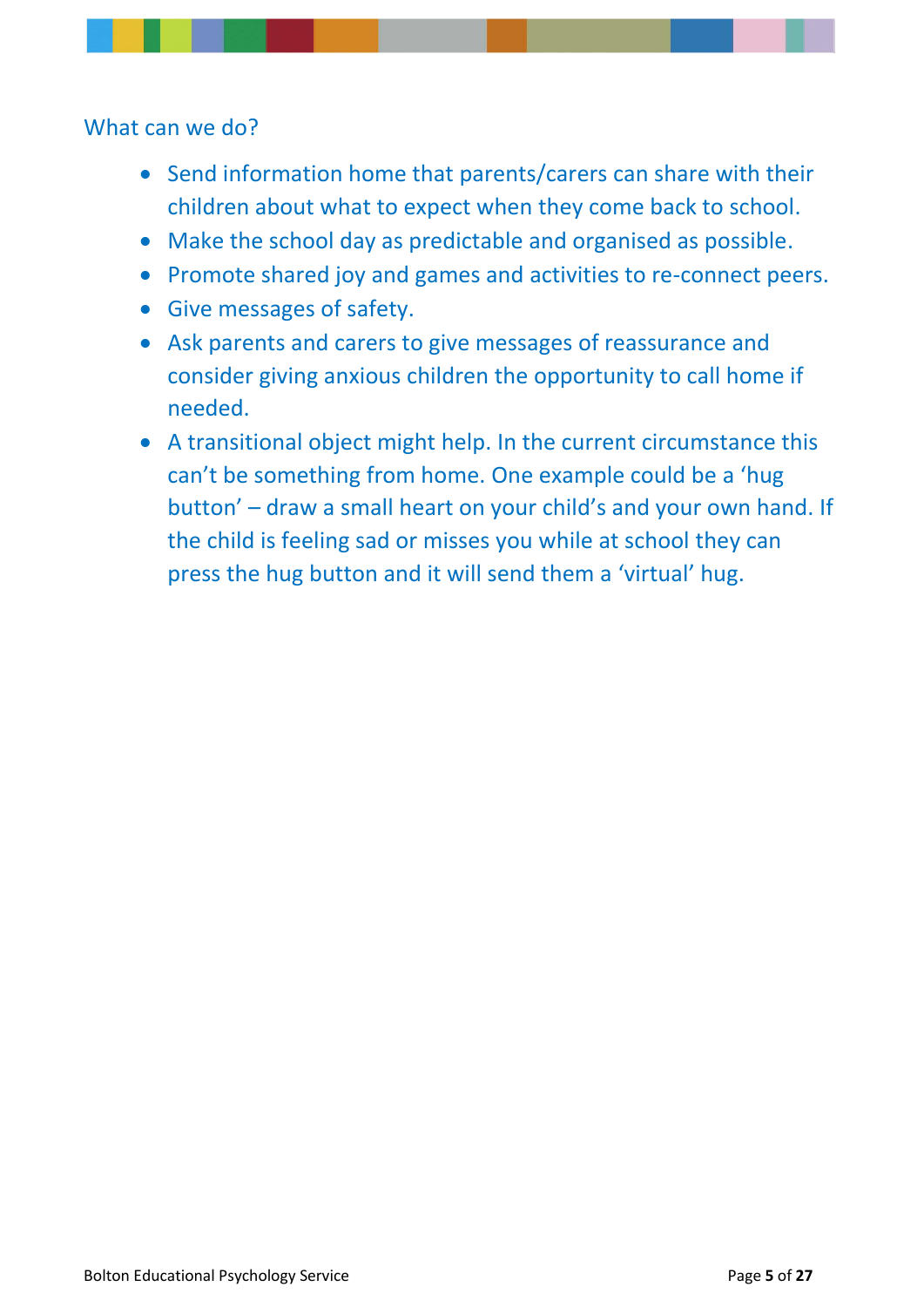What can we do?

- Send information home that parents/carers can share with their children about what to expect when they come back to school.
- Make the school day as predictable and organised as possible.
- Promote shared joy and games and activities to re-connect peers.
- Give messages of safety.
- Ask parents and carers to give messages of reassurance and consider giving anxious children the opportunity to call home if needed.
- A transitional object might help. In the current circumstance this can't be something from home. One example could be a 'hug button' – draw a small heart on your child's and your own hand. If the child is feeling sad or misses you while at school they can press the hug button and it will send them a 'virtual' hug.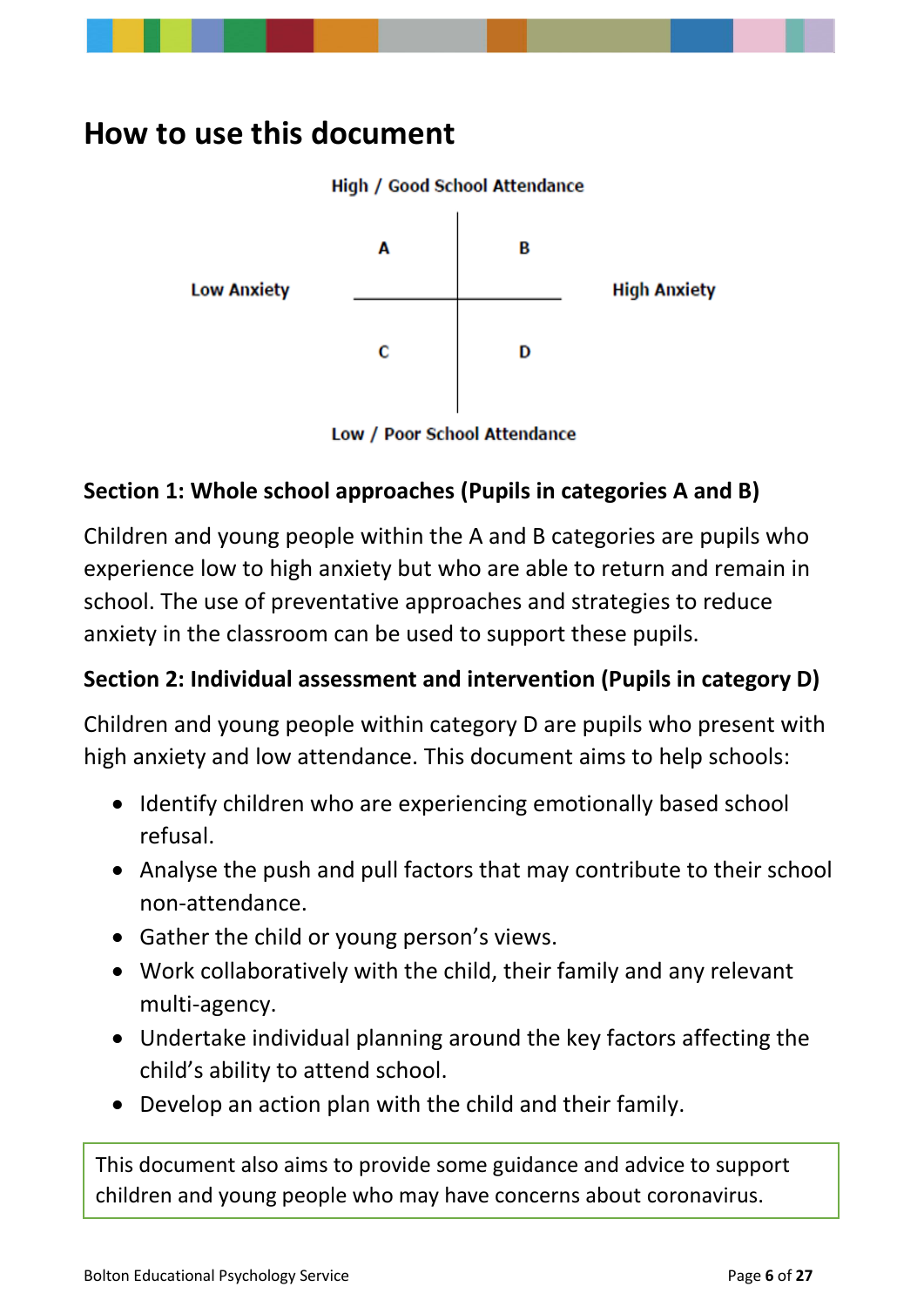# <span id="page-5-0"></span>**How to use this document**



Low / Poor School Attendance

## **Section 1: Whole school approaches (Pupils in categories A and B)**

Children and young people within the A and B categories are pupils who experience low to high anxiety but who are able to return and remain in school. The use of preventative approaches and strategies to reduce anxiety in the classroom can be used to support these pupils.

### **Section 2: Individual assessment and intervention (Pupils in category D)**

Children and young people within category D are pupils who present with high anxiety and low attendance. This document aims to help schools:

- Identify children who are experiencing emotionally based school refusal.
- Analyse the push and pull factors that may contribute to their school non-attendance.
- Gather the child or young person's views.
- Work collaboratively with the child, their family and any relevant multi-agency.
- Undertake individual planning around the key factors affecting the child's ability to attend school.
- Develop an action plan with the child and their family.

This document also aims to provide some guidance and advice to support children and young people who may have concerns about coronavirus.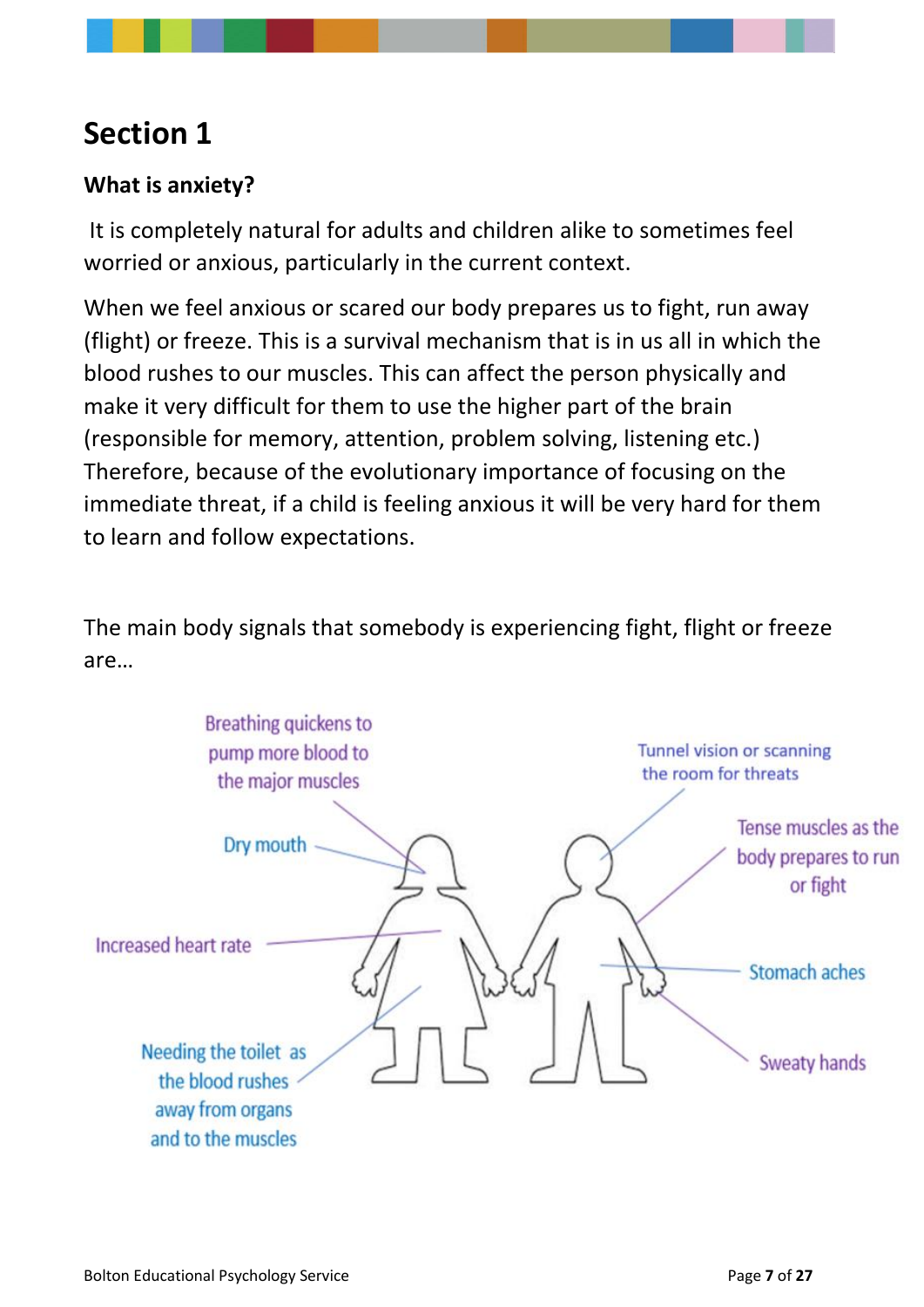# <span id="page-6-0"></span>**Section 1**

### <span id="page-6-1"></span>**What is anxiety?**

It is completely natural for adults and children alike to sometimes feel worried or anxious, particularly in the current context.

When we feel anxious or scared our body prepares us to fight, run away (flight) or freeze. This is a survival mechanism that is in us all in which the blood rushes to our muscles. This can affect the person physically and make it very difficult for them to use the higher part of the brain (responsible for memory, attention, problem solving, listening etc.) Therefore, because of the evolutionary importance of focusing on the immediate threat, if a child is feeling anxious it will be very hard for them to learn and follow expectations.

The main body signals that somebody is experiencing fight, flight or freeze are…

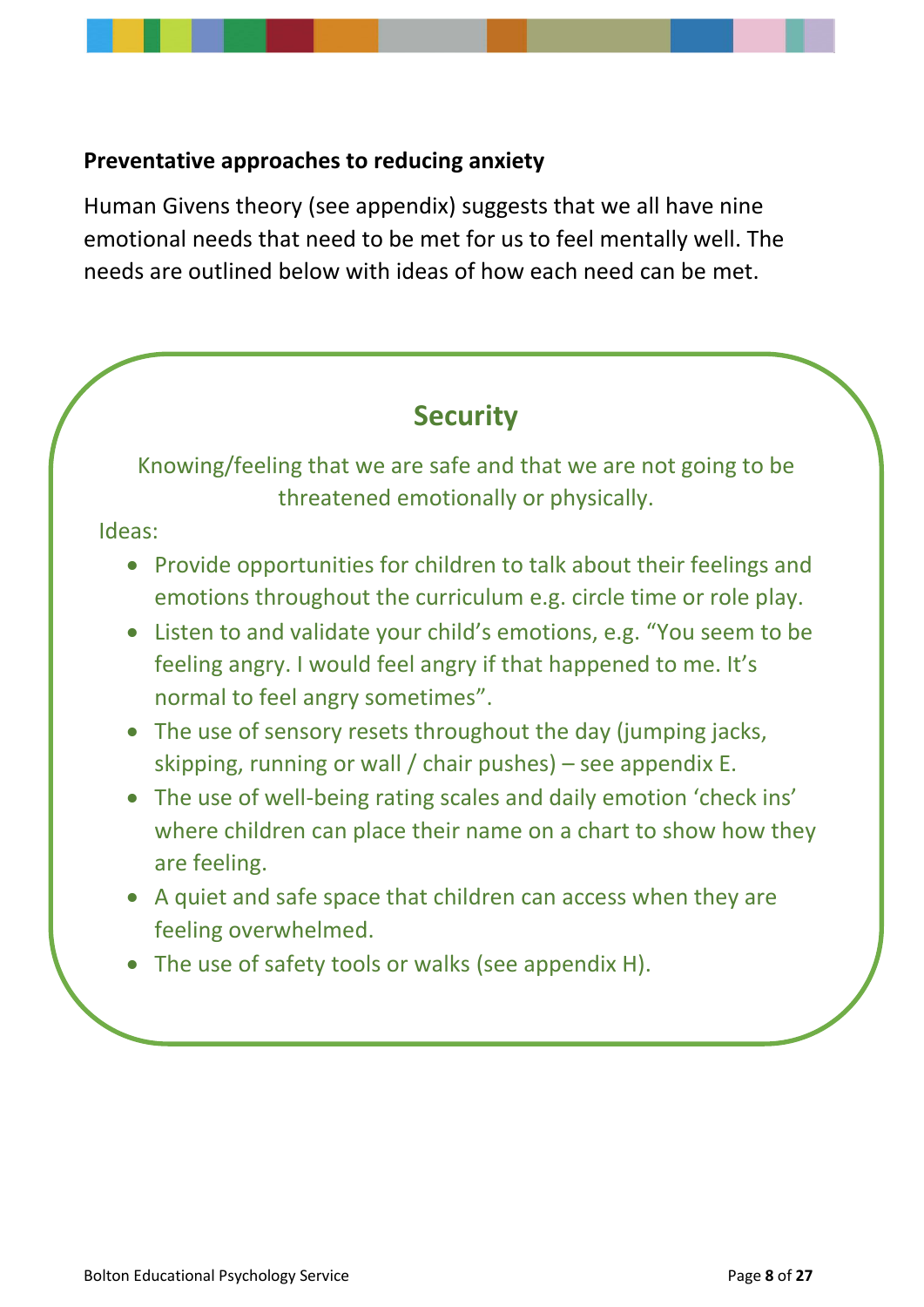#### <span id="page-7-0"></span>**Preventative approaches to reducing anxiety**

Human Givens theory (see appendix) suggests that we all have nine emotional needs that need to be met for us to feel mentally well. The needs are outlined below with ideas of how each need can be met.

## **Security**

Knowing/feeling that we are safe and that we are not going to be threatened emotionally or physically.

Ideas:

- Provide opportunities for children to talk about their feelings and emotions throughout the curriculum e.g. circle time or role play.
- Listen to and validate your child's emotions, e.g. "You seem to be feeling angry. I would feel angry if that happened to me. It's normal to feel angry sometimes".
- The use of sensory resets throughout the day (jumping jacks, skipping, running or wall / chair pushes) – see appendix E.
- The use of well-being rating scales and daily emotion 'check ins' where children can place their name on a chart to show how they are feeling.
- A quiet and safe space that children can access when they are feeling overwhelmed.
- The use of safety tools or walks (see appendix H).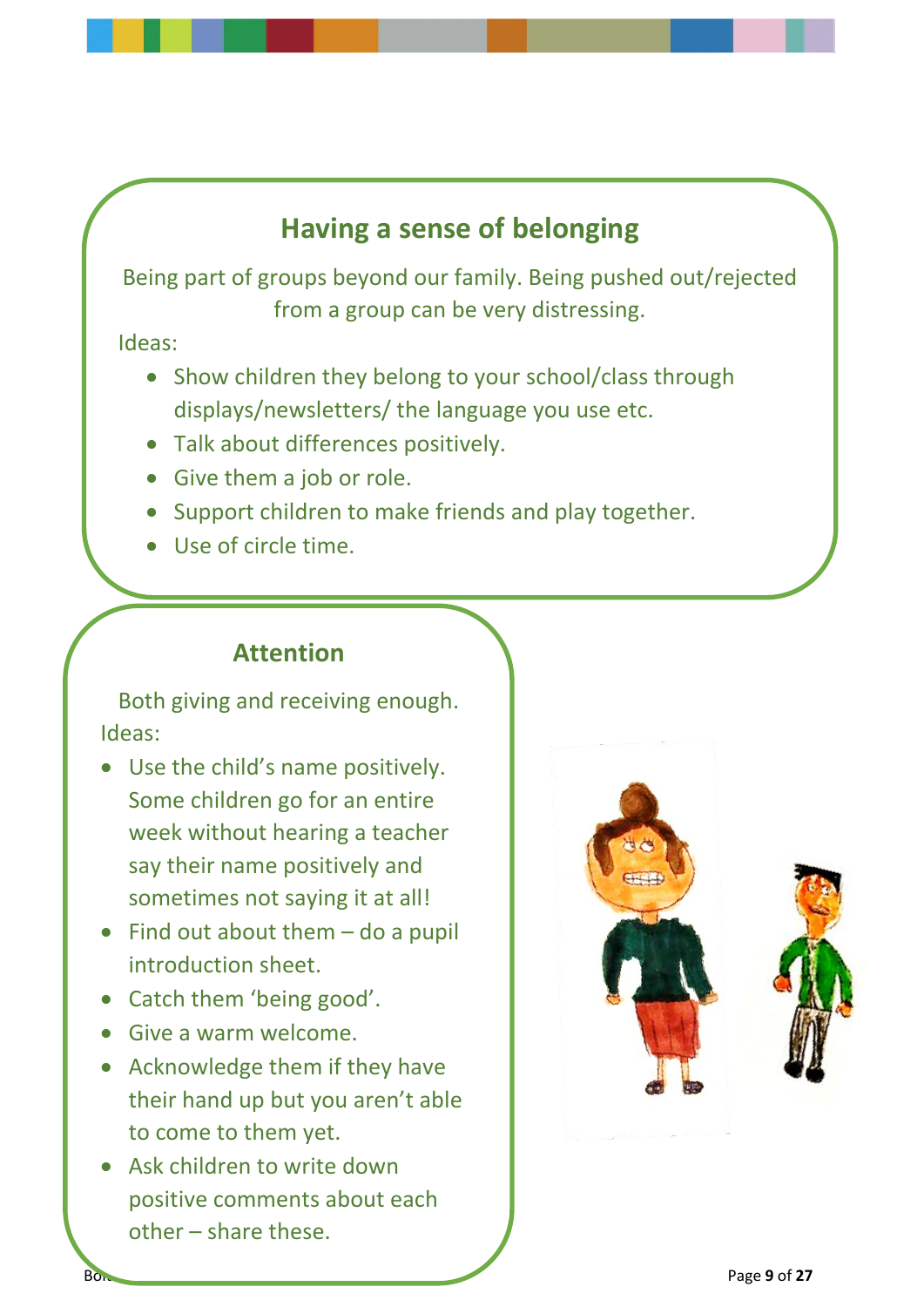## **Having a sense of belonging**

Being part of groups beyond our family. Being pushed out/rejected from a group can be very distressing.

Ideas:

- Show children they belong to your school/class through displays/newsletters/ the language you use etc.
- Talk about differences positively.
- Give them a job or role.
- Support children to make friends and play together.
- Use of circle time.

## **Attention**

Both giving and receiving enough. Ideas:

- Use the child's name positively. Some children go for an entire week without hearing a teacher say their name positively and sometimes not saying it at all!
- Find out about them do a pupil introduction sheet.
- Catch them 'being good'.
- Give a warm welcome.
- Acknowledge them if they have their hand up but you aren't able to come to them yet.
- Ask children to write down positive comments about each other – share these.

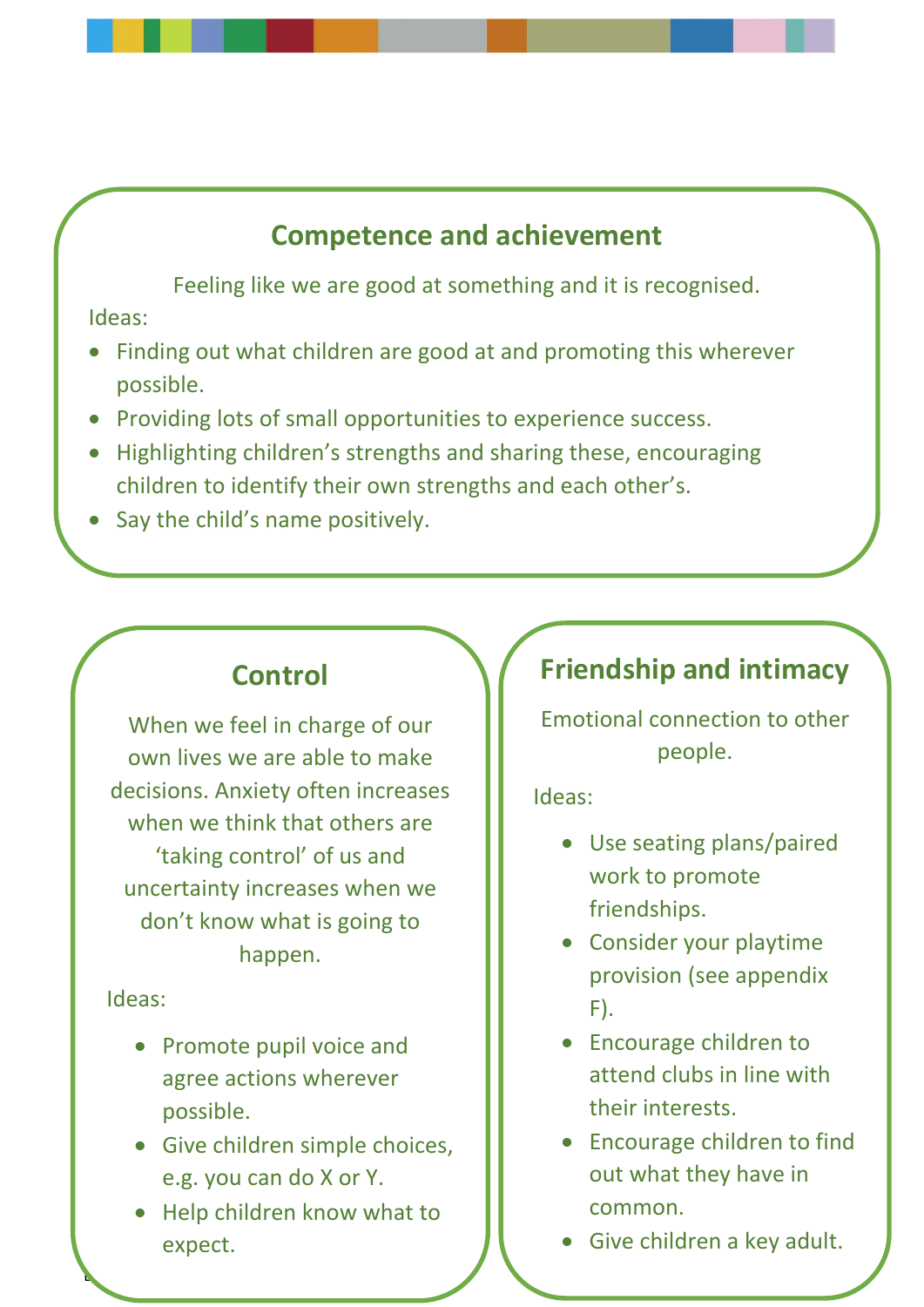## **Competence and achievement**

Feeling like we are good at something and it is recognised.

Ideas:

- Finding out what children are good at and promoting this wherever possible.
- Providing lots of small opportunities to experience success.
- Highlighting children's strengths and sharing these, encouraging children to identify their own strengths and each other's.
- Say the child's name positively.

# **Control**

When we feel in charge of our own lives we are able to make decisions. Anxiety often increases when we think that others are 'taking control' of us and uncertainty increases when we don't know what is going to happen.

Ideas:

- Promote pupil voice and agree actions wherever possible.
- Give children simple choices, e.g. you can do X or Y.
- Help children know what to expect.

Bolton Educational Psychology Service Page **10** of **27**

# **Friendship and intimacy**

Emotional connection to other people.

Ideas:

- Use seating plans/paired work to promote friendships.
- Consider your playtime provision (see appendix F).
- Encourage children to attend clubs in line with their interests.
- Encourage children to find out what they have in common.
- Give children a key adult.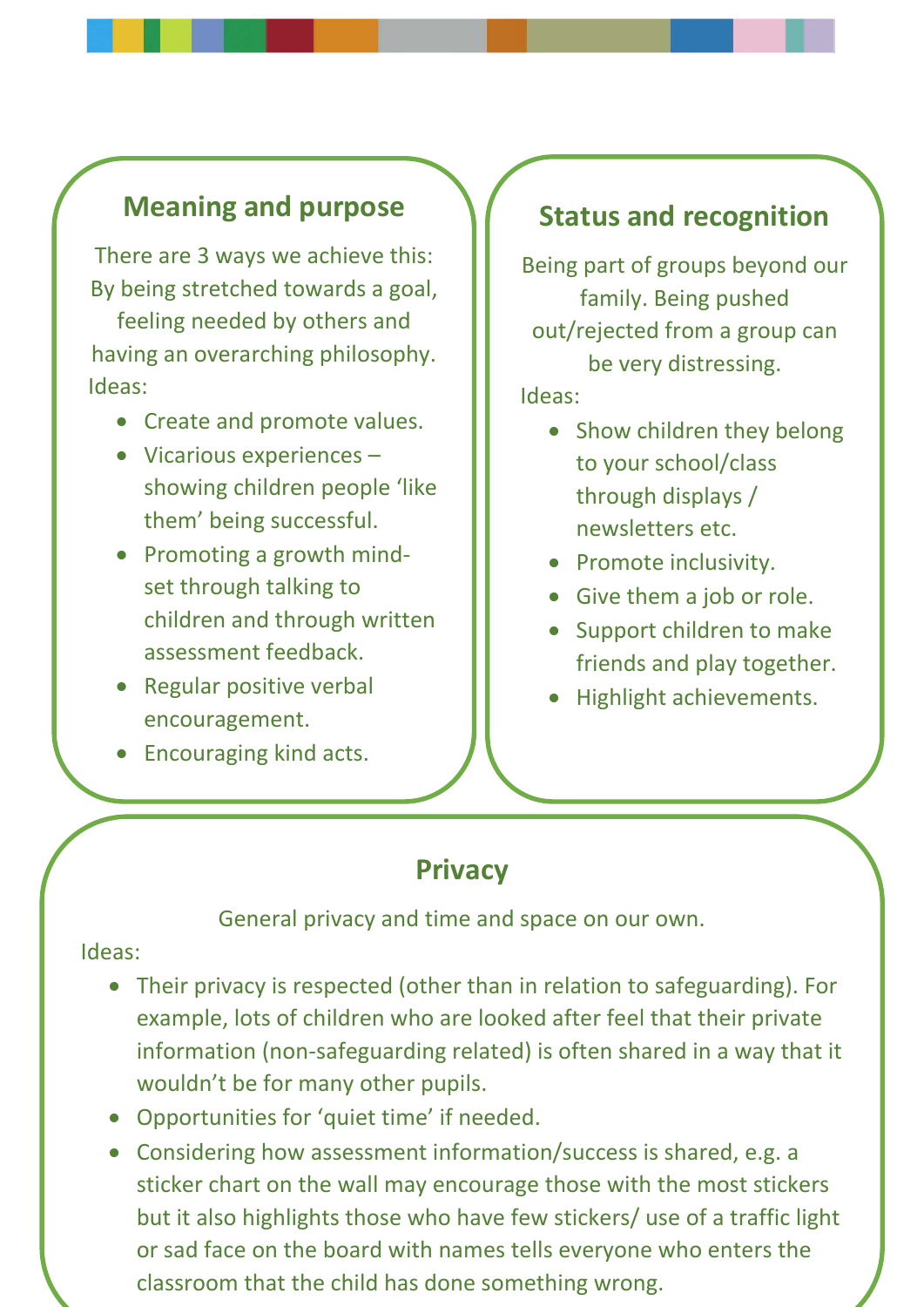## **Meaning and purpose**

There are 3 ways we achieve this: By being stretched towards a goal,

feeling needed by others and having an overarching philosophy. Ideas:

- Create and promote values.
- Vicarious experiences showing children people 'like them' being successful.
- Promoting a growth mindset through talking to children and through written assessment feedback.
- Regular positive verbal encouragement.
- Encouraging kind acts.

## **Status and recognition**

Being part of groups beyond our family. Being pushed out/rejected from a group can be very distressing.

Ideas:

- Show children they belong to your school/class through displays / newsletters etc.
- Promote inclusivity.
- Give them a job or role.
- Support children to make friends and play together.
- Highlight achievements.

## **Privacy**

General privacy and time and space on our own.

#### Ideas:

- Their privacy is respected (other than in relation to safeguarding). For example, lots of children who are looked after feel that their private information (non-safeguarding related) is often shared in a way that it wouldn't be for many other pupils.
- Opportunities for 'quiet time' if needed.
- classroom that the child has done something wrong. • Considering how assessment information/success is shared, e.g. a sticker chart on the wall may encourage those with the most stickers but it also highlights those who have few stickers/ use of a traffic light or sad face on the board with names tells everyone who enters the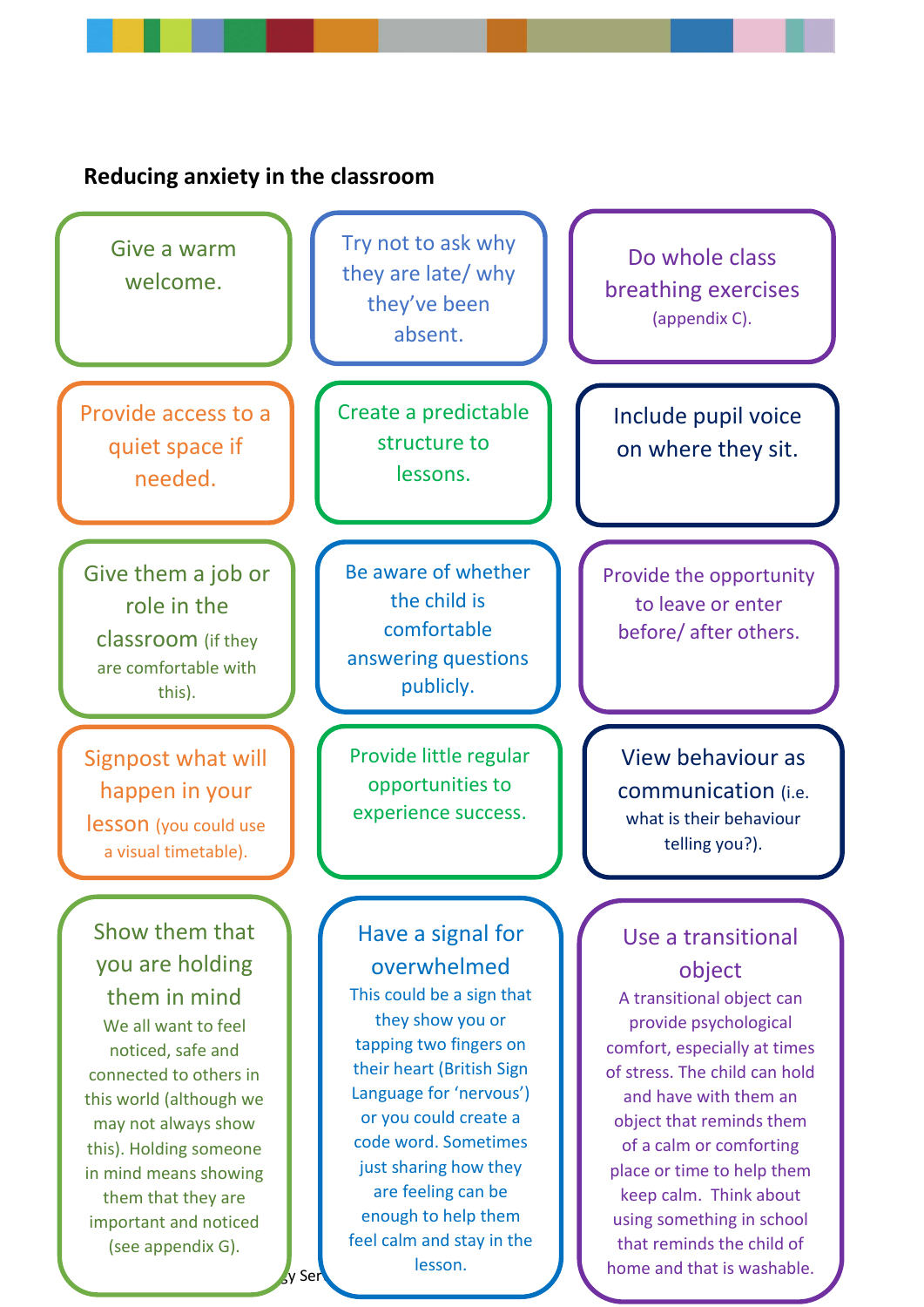<span id="page-11-0"></span>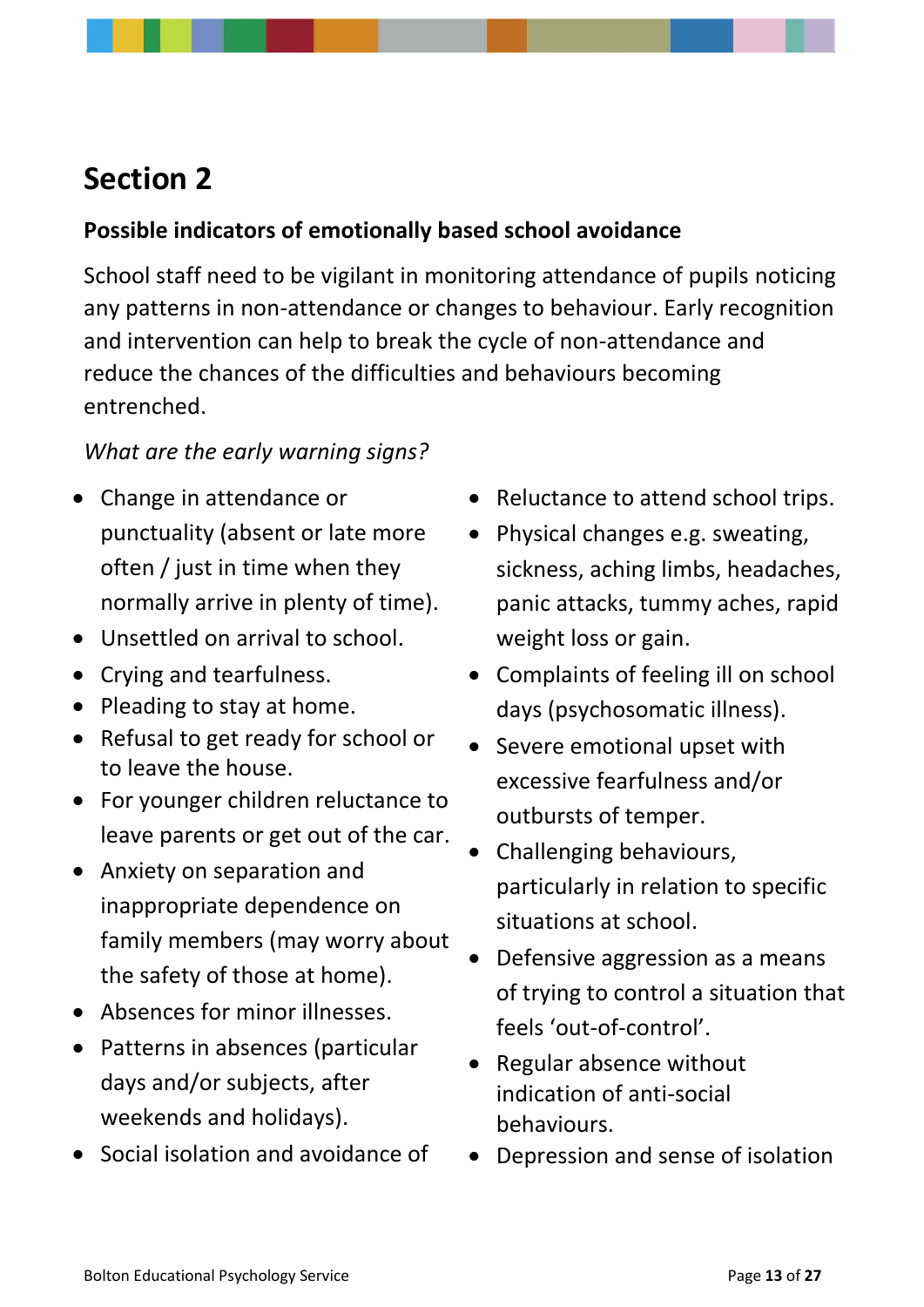# <span id="page-12-0"></span>**Section 2**

### <span id="page-12-1"></span>**Possible indicators of emotionally based school avoidance**

School staff need to be vigilant in monitoring attendance of pupils noticing any patterns in non-attendance or changes to behaviour. Early recognition and intervention can help to break the cycle of non-attendance and reduce the chances of the difficulties and behaviours becoming entrenched.

### *What are the early warning signs?*

- Change in attendance or punctuality (absent or late more often / just in time when they normally arrive in plenty of time).
- Unsettled on arrival to school.
- Crying and tearfulness.
- Pleading to stay at home.
- Refusal to get ready for school or to leave the house.
- For younger children reluctance to leave parents or get out of the car.
- Anxiety on separation and inappropriate dependence on family members (may worry about the safety of those at home).
- Absences for minor illnesses.
- Patterns in absences (particular days and/or subjects, after weekends and holidays).
- Social isolation and avoidance of
- Reluctance to attend school trips.
- Physical changes e.g. sweating, sickness, aching limbs, headaches, panic attacks, tummy aches, rapid weight loss or gain.
- Complaints of feeling ill on school days (psychosomatic illness).
- Severe emotional upset with excessive fearfulness and/or outbursts of temper.
- Challenging behaviours, particularly in relation to specific situations at school.
- Defensive aggression as a means of trying to control a situation that feels 'out-of-control'.
- Regular absence without indication of anti-social behaviours.
- Depression and sense of isolation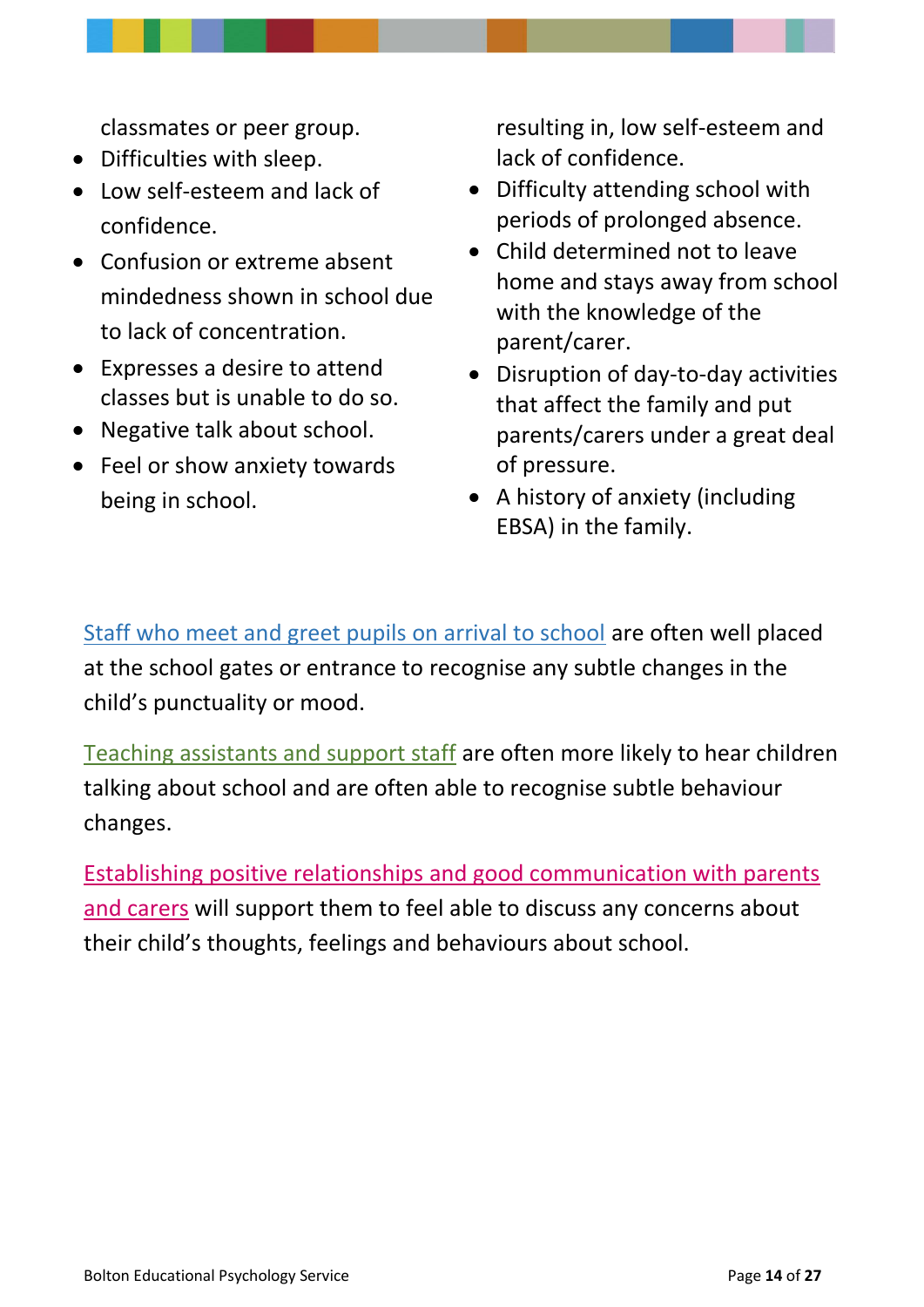classmates or peer group.

- Difficulties with sleep.
- Low self-esteem and lack of confidence.
- Confusion or extreme absent mindedness shown in school due to lack of concentration.
- Expresses a desire to attend classes but is unable to do so.
- Negative talk about school.
- Feel or show anxiety towards being in school.

resulting in, low self-esteem and lack of confidence.

- Difficulty attending school with periods of prolonged absence.
- Child determined not to leave home and stays away from school with the knowledge of the parent/carer.
- Disruption of day-to-day activities that affect the family and put parents/carers under a great deal of pressure.
- A history of anxiety (including EBSA) in the family.

Staff who meet and greet pupils on arrival to school are often well placed at the school gates or entrance to recognise any subtle changes in the child's punctuality or mood.

Teaching assistants and support staff are often more likely to hear children talking about school and are often able to recognise subtle behaviour changes.

Establishing positive relationships and good communication with parents and carers will support them to feel able to discuss any concerns about their child's thoughts, feelings and behaviours about school.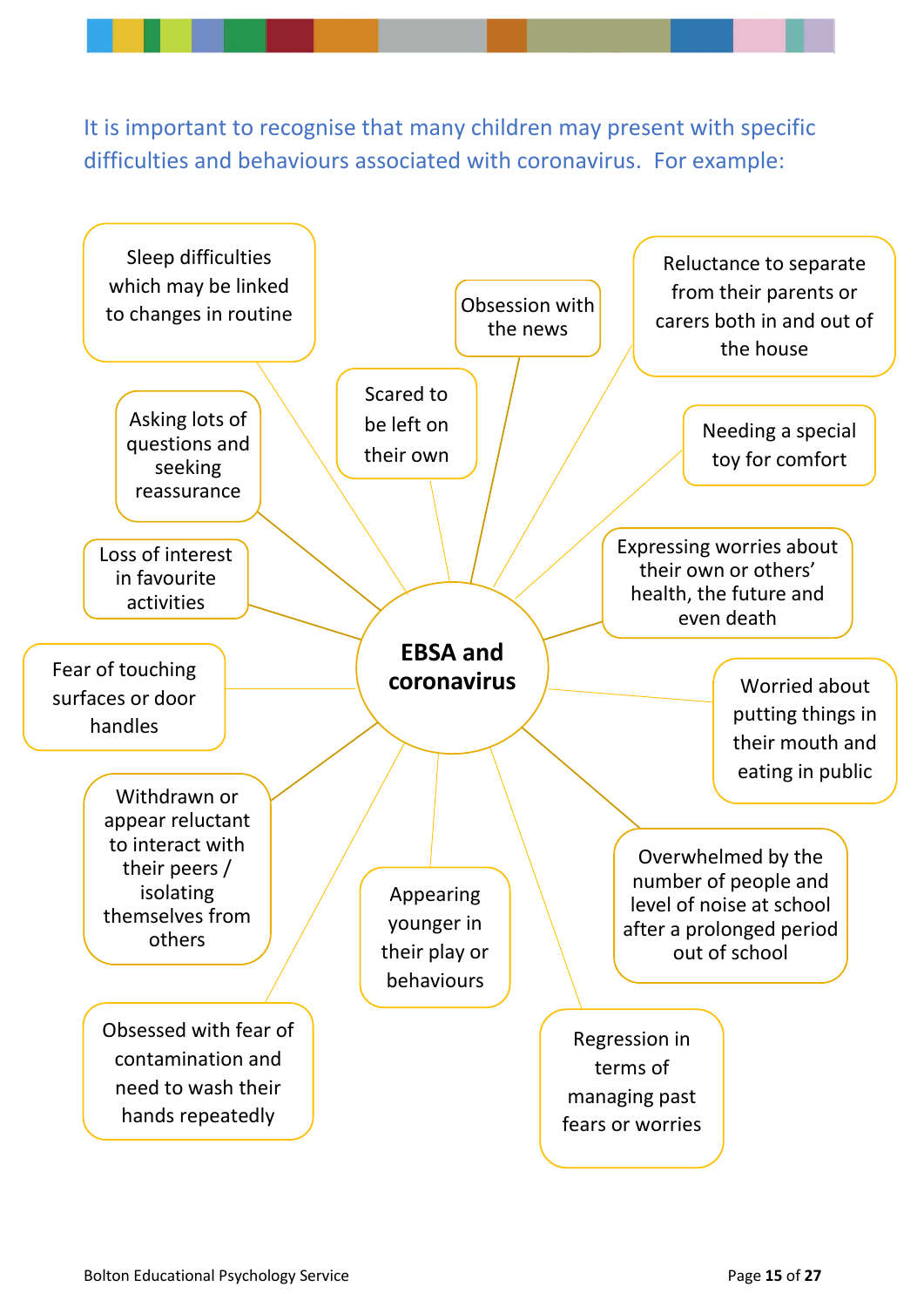It is important to recognise that many children may present with specific difficulties and behaviours associated with coronavirus. For example:

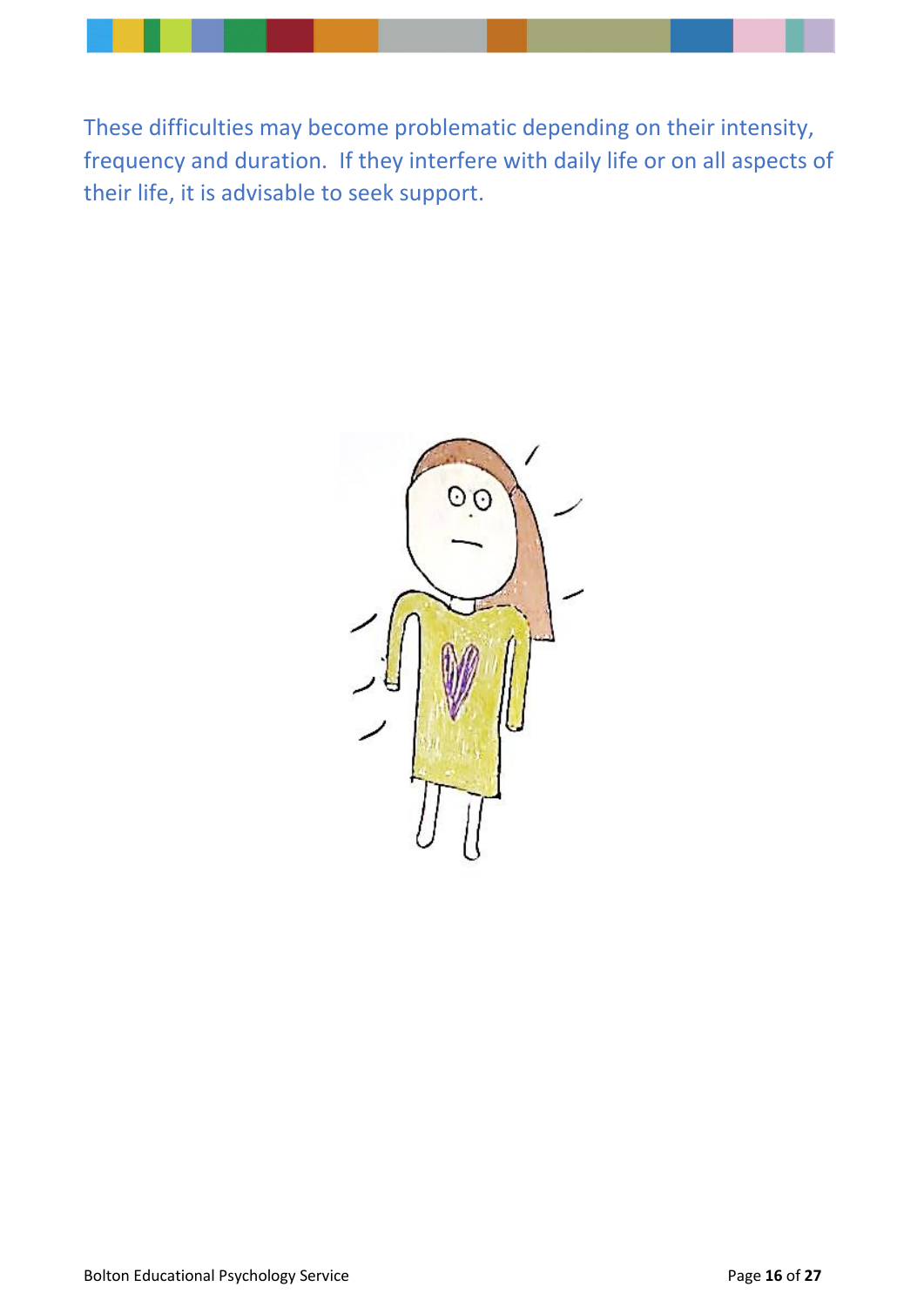<span id="page-15-0"></span>These difficulties may become problematic depending on their intensity, frequency and duration. If they interfere with daily life or on all aspects of their life, it is advisable to seek support.

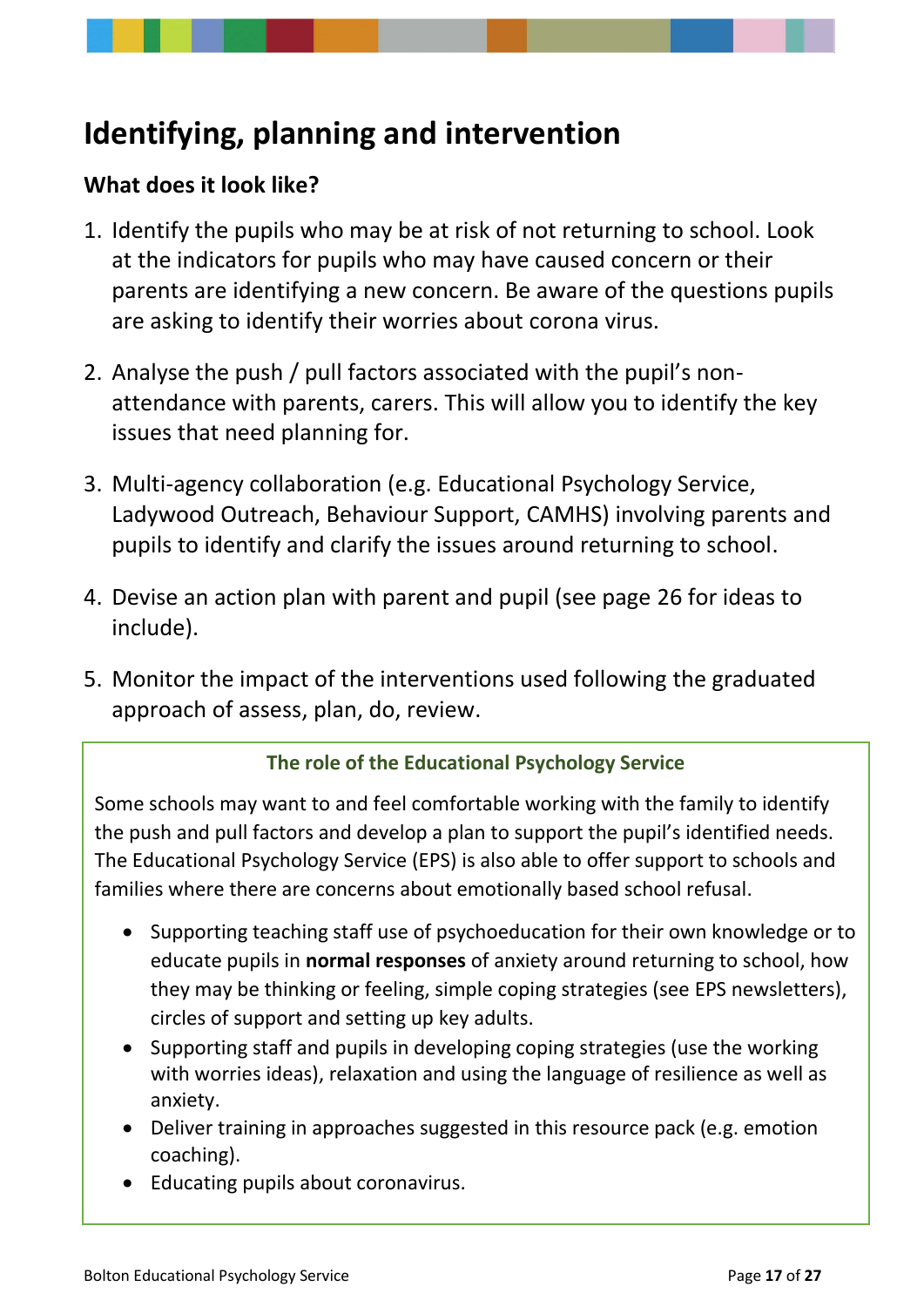# <span id="page-16-0"></span>**Identifying, planning and intervention**

### <span id="page-16-1"></span>**What does it look like?**

- 1. Identify the pupils who may be at risk of not returning to school. Look at the indicators for pupils who may have caused concern or their parents are identifying a new concern. Be aware of the questions pupils are asking to identify their worries about corona virus.
- 2. Analyse the push / pull factors associated with the pupil's nonattendance with parents, carers. This will allow you to identify the key issues that need planning for.
- 3. Multi-agency collaboration (e.g. Educational Psychology Service, Ladywood Outreach, Behaviour Support, CAMHS) involving parents and pupils to identify and clarify the issues around returning to school.
- 4. Devise an action plan with parent and pupil (see page 26 for ideas to include).
- 5. Monitor the impact of the interventions used following the graduated approach of assess, plan, do, review.

#### **The role of the Educational Psychology Service**

Some schools may want to and feel comfortable working with the family to identify the push and pull factors and develop a plan to support the pupil's identified needs. The Educational Psychology Service (EPS) is also able to offer support to schools and families where there are concerns about emotionally based school refusal.

- Supporting teaching staff use of psychoeducation for their own knowledge or to educate pupils in **normal responses** of anxiety around returning to school, how they may be thinking or feeling, simple coping strategies (see EPS newsletters), circles of support and setting up key adults.
- Supporting staff and pupils in developing coping strategies (use the working with worries ideas), relaxation and using the language of resilience as well as anxiety.
- Deliver training in approaches suggested in this resource pack (e.g. emotion coaching).
- Educating pupils about coronavirus.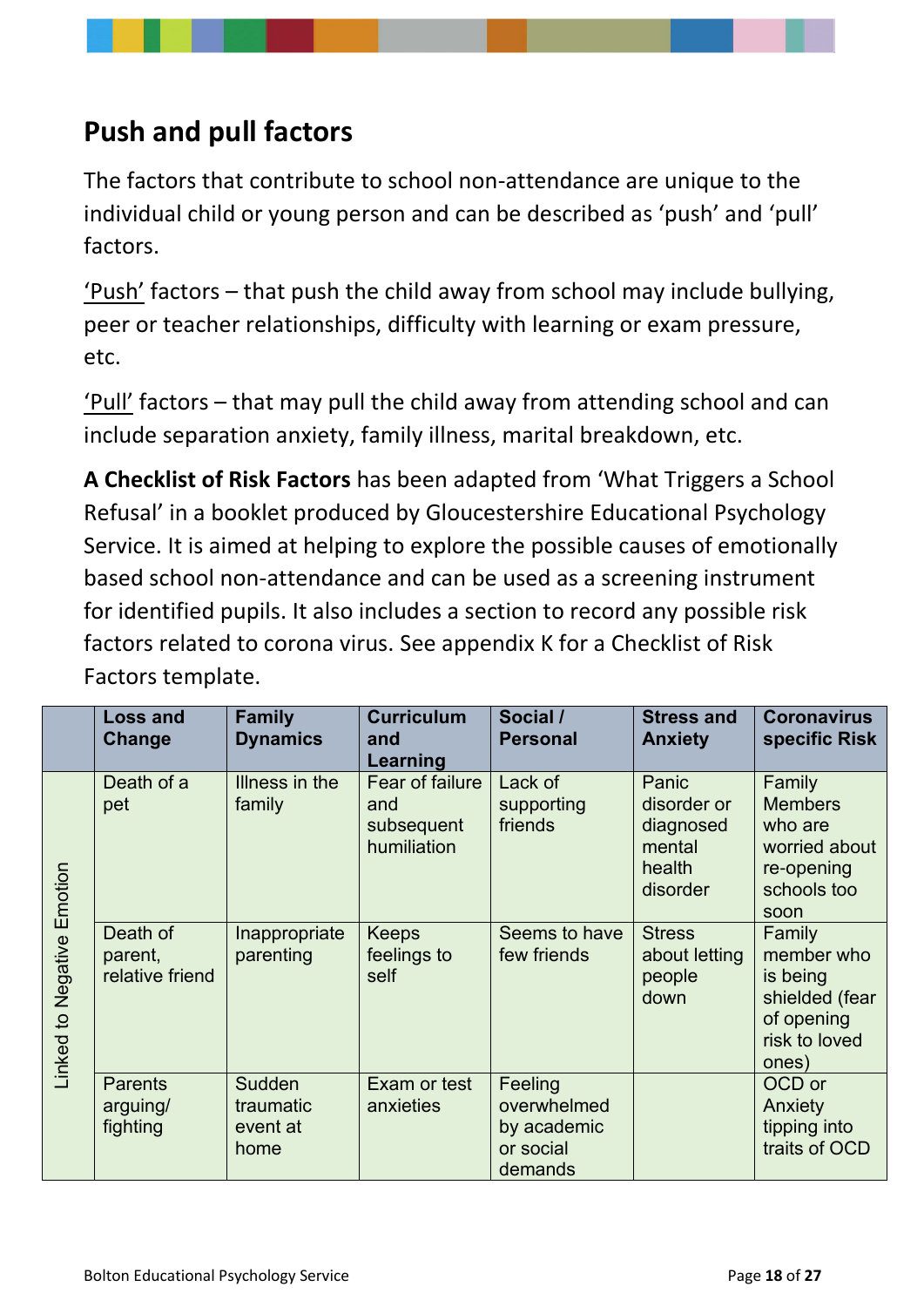# **Push and pull factors**

The factors that contribute to school non-attendance are unique to the individual child or young person and can be described as 'push' and 'pull' factors.

'Push' factors – that push the child away from school may include bullying, peer or teacher relationships, difficulty with learning or exam pressure, etc.

'Pull' factors – that may pull the child away from attending school and can include separation anxiety, family illness, marital breakdown, etc.

**A Checklist of Risk Factors** has been adapted from 'What Triggers a School Refusal' in a booklet produced by Gloucestershire Educational Psychology Service. It is aimed at helping to explore the possible causes of emotionally based school non-attendance and can be used as a screening instrument for identified pupils. It also includes a section to record any possible risk factors related to corona virus. See appendix K for a Checklist of Risk Factors template.

|                               | <b>Loss and</b><br>Change              | <b>Family</b><br><b>Dynamics</b>        | <b>Curriculum</b><br>and<br>Learning                | Social /<br><b>Personal</b>                                   | <b>Stress and</b><br><b>Anxiety</b>                               | <b>Coronavirus</b><br>specific Risk                                                        |
|-------------------------------|----------------------------------------|-----------------------------------------|-----------------------------------------------------|---------------------------------------------------------------|-------------------------------------------------------------------|--------------------------------------------------------------------------------------------|
| Negative Emotion<br>Linked to | Death of a<br>pet                      | Illness in the<br>family                | Fear of failure<br>and<br>subsequent<br>humiliation | Lack of<br>supporting<br>friends                              | Panic<br>disorder or<br>diagnosed<br>mental<br>health<br>disorder | Family<br><b>Members</b><br>who are<br>worried about<br>re-opening<br>schools too<br>soon  |
|                               | Death of<br>parent,<br>relative friend | Inappropriate<br>parenting              | <b>Keeps</b><br>feelings to<br>self                 | Seems to have<br>few friends                                  | <b>Stress</b><br>about letting<br>people<br>down                  | Family<br>member who<br>is being<br>shielded (fear<br>of opening<br>risk to loved<br>ones) |
|                               | <b>Parents</b><br>arguing/<br>fighting | Sudden<br>traumatic<br>event at<br>home | Exam or test<br>anxieties                           | Feeling<br>overwhelmed<br>by academic<br>or social<br>demands |                                                                   | OCD or<br>Anxiety<br>tipping into<br>traits of OCD                                         |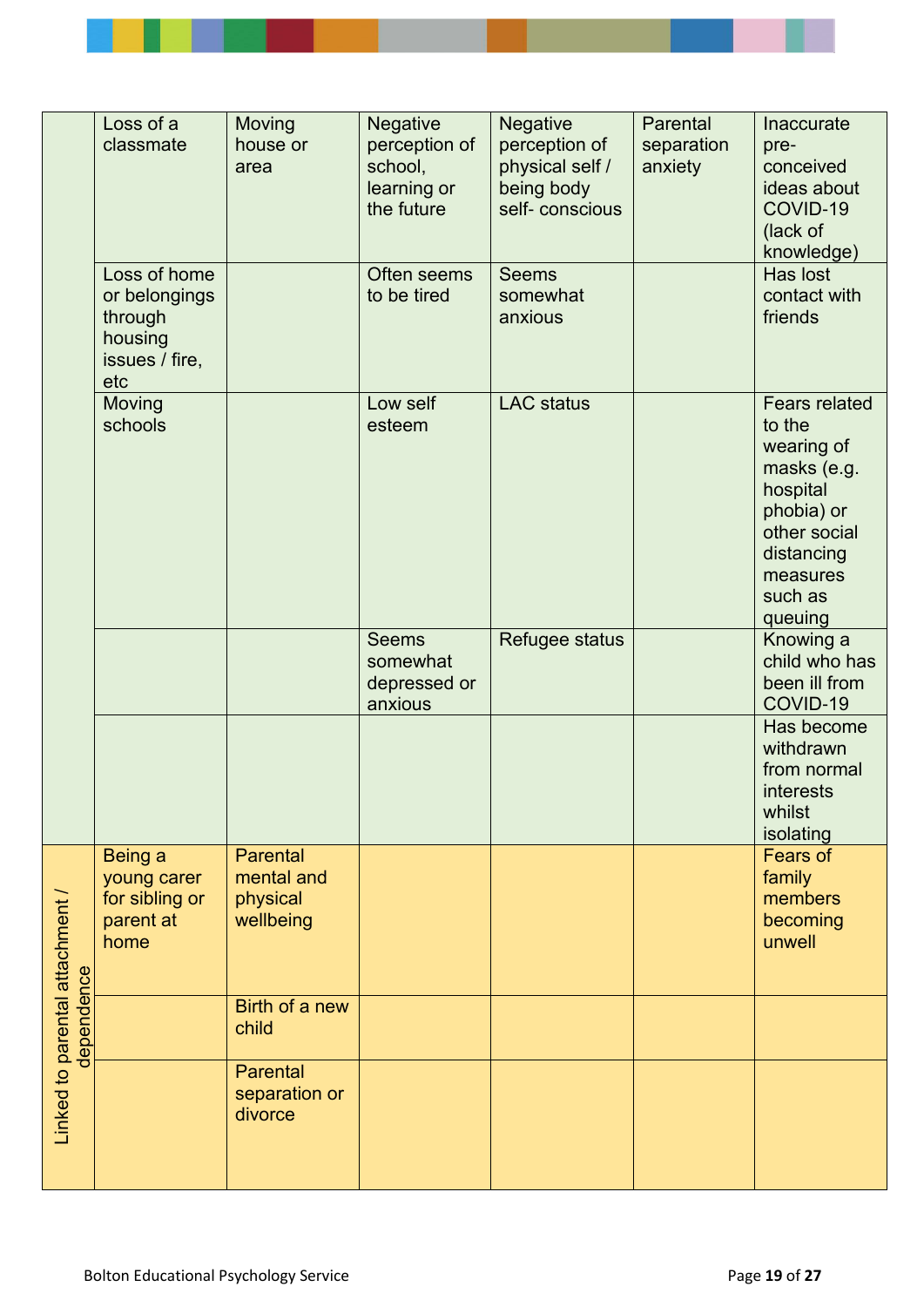|                                             | Loss of a<br>classmate                                                       | <b>Moving</b><br>house or<br>area                      | <b>Negative</b><br>perception of<br>school,<br>learning or<br>the future | <b>Negative</b><br>perception of<br>physical self /<br>being body<br>self-conscious | Parental<br>separation<br>anxiety | <b>Inaccurate</b><br>pre-<br>conceived<br>ideas about<br>COVID-19<br>(lack of<br>knowledge)                                                           |
|---------------------------------------------|------------------------------------------------------------------------------|--------------------------------------------------------|--------------------------------------------------------------------------|-------------------------------------------------------------------------------------|-----------------------------------|-------------------------------------------------------------------------------------------------------------------------------------------------------|
|                                             | Loss of home<br>or belongings<br>through<br>housing<br>issues / fire,<br>etc |                                                        | Often seems<br>to be tired                                               | <b>Seems</b><br>somewhat<br>anxious                                                 |                                   | Has lost<br>contact with<br>friends                                                                                                                   |
|                                             | <b>Moving</b><br>schools                                                     |                                                        | Low self<br>esteem                                                       | <b>LAC</b> status                                                                   |                                   | <b>Fears related</b><br>to the<br>wearing of<br>masks (e.g.<br>hospital<br>phobia) or<br>other social<br>distancing<br>measures<br>such as<br>queuing |
|                                             |                                                                              |                                                        | <b>Seems</b><br>somewhat<br>depressed or<br>anxious                      | Refugee status                                                                      |                                   | Knowing a<br>child who has<br>been ill from<br>COVID-19                                                                                               |
|                                             |                                                                              |                                                        |                                                                          |                                                                                     |                                   | Has become<br>withdrawn<br>from normal<br>interests<br>whilst<br>isolating                                                                            |
| Linked to parental attachment<br>dependence | Being a<br>young carer<br>for sibling or<br>parent at<br>home                | <b>Parental</b><br>mental and<br>physical<br>wellbeing |                                                                          |                                                                                     |                                   | <b>Fears of</b><br>family<br>members<br>becoming<br>unwell                                                                                            |
|                                             |                                                                              | Birth of a new<br>child                                |                                                                          |                                                                                     |                                   |                                                                                                                                                       |
|                                             |                                                                              | Parental<br>separation or<br>divorce                   |                                                                          |                                                                                     |                                   |                                                                                                                                                       |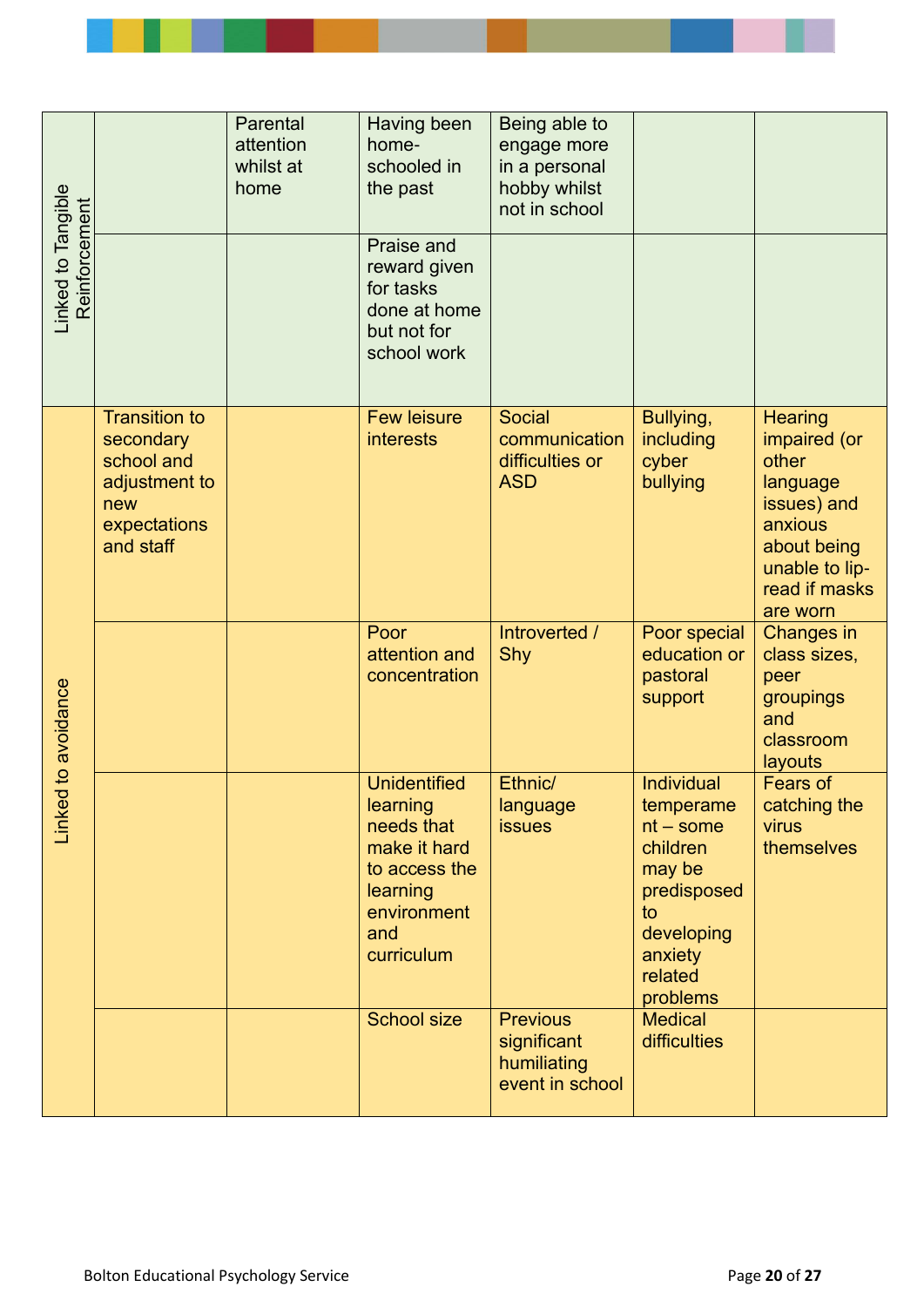<span id="page-19-0"></span>

| -inked to Tangible<br>Reinforcement |                                                                                                      | Parental<br>attention<br>whilst at<br>home | Having been<br>home-<br>schooled in<br>the past                                                                                | Being able to<br>engage more<br>in a personal<br>hobby whilst<br>not in school |                                                                                                                                          |                                                                                                                                             |
|-------------------------------------|------------------------------------------------------------------------------------------------------|--------------------------------------------|--------------------------------------------------------------------------------------------------------------------------------|--------------------------------------------------------------------------------|------------------------------------------------------------------------------------------------------------------------------------------|---------------------------------------------------------------------------------------------------------------------------------------------|
|                                     |                                                                                                      |                                            | <b>Praise and</b><br>reward given<br>for tasks<br>done at home<br>but not for<br>school work                                   |                                                                                |                                                                                                                                          |                                                                                                                                             |
| d to avoidance<br>Linke             | <b>Transition to</b><br>secondary<br>school and<br>adjustment to<br>new<br>expectations<br>and staff |                                            | <b>Few leisure</b><br><b>interests</b>                                                                                         | <b>Social</b><br>communication<br>difficulties or<br><b>ASD</b>                | Bullying,<br>including<br>cyber<br>bullying                                                                                              | <b>Hearing</b><br>impaired (or<br>other<br>language<br>issues) and<br>anxious<br>about being<br>unable to lip-<br>read if masks<br>are worn |
|                                     |                                                                                                      |                                            | Poor<br>attention and<br>concentration                                                                                         | Introverted /<br><b>Shy</b>                                                    | Poor special<br>education or<br>pastoral<br>support                                                                                      | Changes in<br>class sizes,<br>peer<br>groupings<br>and<br>classroom<br>layouts                                                              |
|                                     |                                                                                                      |                                            | <b>Unidentified</b><br>learning<br>needs that<br>make it hard<br>to access the<br>learning<br>environment<br>and<br>curriculum | Ethnic/<br>language<br><b>issues</b>                                           | <b>Individual</b><br>temperame<br>$nt$ – some<br>children<br>may be<br>predisposed<br>to<br>developing<br>anxiety<br>related<br>problems | <b>Fears of</b><br>catching the<br>virus<br>themselves                                                                                      |
|                                     |                                                                                                      |                                            | <b>School size</b>                                                                                                             | <b>Previous</b><br>significant<br>humiliating<br>event in school               | <b>Medical</b><br>difficulties                                                                                                           |                                                                                                                                             |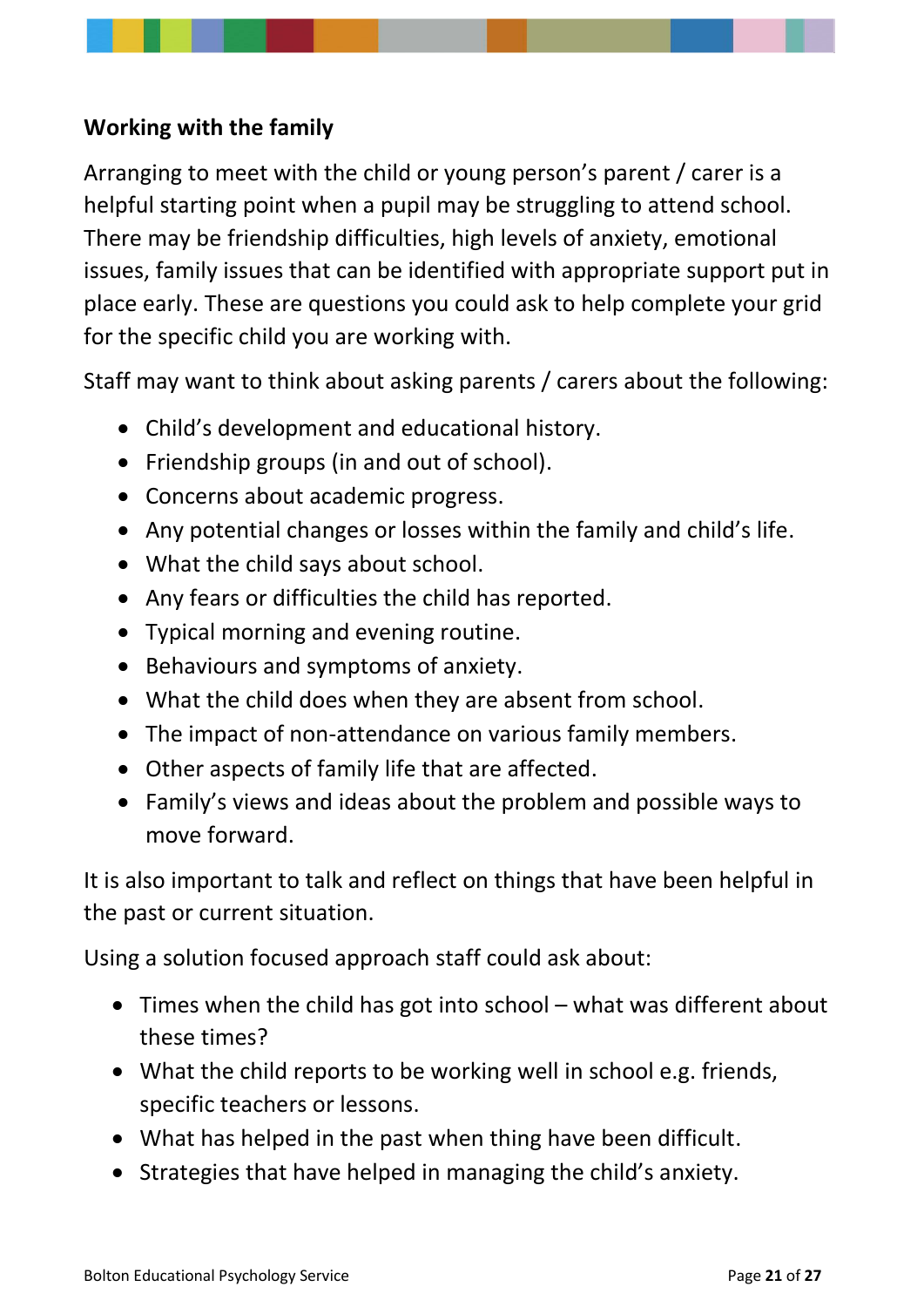### **Working with the family**

Arranging to meet with the child or young person's parent / carer is a helpful starting point when a pupil may be struggling to attend school. There may be friendship difficulties, high levels of anxiety, emotional issues, family issues that can be identified with appropriate support put in place early. These are questions you could ask to help complete your grid for the specific child you are working with.

Staff may want to think about asking parents / carers about the following:

- Child's development and educational history.
- Friendship groups (in and out of school).
- Concerns about academic progress.
- Any potential changes or losses within the family and child's life.
- What the child says about school.
- Any fears or difficulties the child has reported.
- Typical morning and evening routine.
- Behaviours and symptoms of anxiety.
- What the child does when they are absent from school.
- The impact of non-attendance on various family members.
- Other aspects of family life that are affected.
- Family's views and ideas about the problem and possible ways to move forward.

It is also important to talk and reflect on things that have been helpful in the past or current situation.

Using a solution focused approach staff could ask about:

- Times when the child has got into school what was different about these times?
- What the child reports to be working well in school e.g. friends, specific teachers or lessons.
- What has helped in the past when thing have been difficult.
- Strategies that have helped in managing the child's anxiety.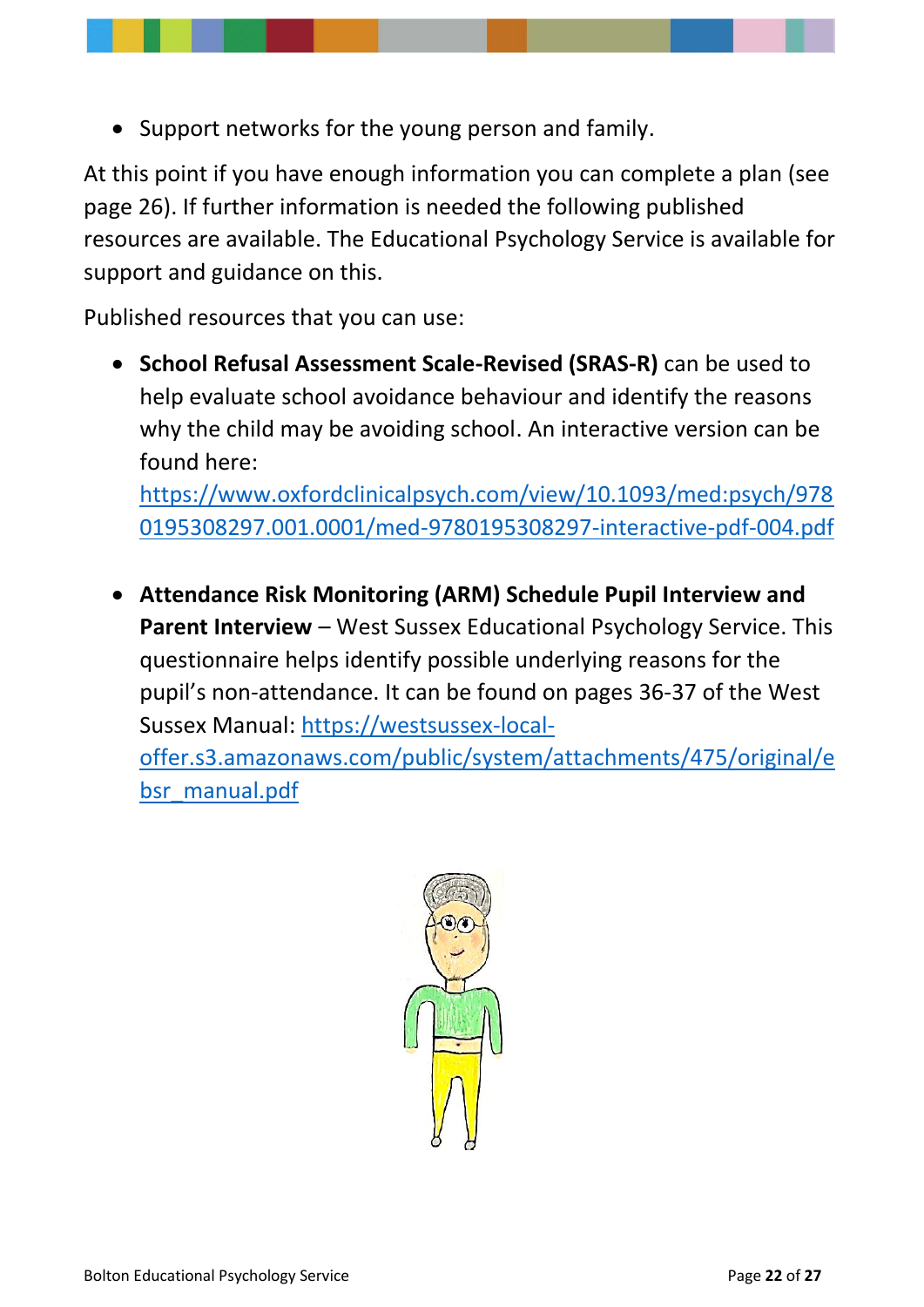• Support networks for the young person and family.

At this point if you have enough information you can complete a plan (see page 26). If further information is needed the following published resources are available. The Educational Psychology Service is available for support and guidance on this.

Published resources that you can use:

• **School Refusal Assessment Scale-Revised (SRAS-R)** can be used to help evaluate school avoidance behaviour and identify the reasons why the child may be avoiding school. An interactive version can be found here:

[https://www.oxfordclinicalpsych.com/view/10.1093/med:psych/978](https://www.oxfordclinicalpsych.com/view/10.1093/med:psych/9780195308297.001.0001/med-9780195308297-interactive-pdf-004.pdf) [0195308297.001.0001/med-9780195308297-interactive-pdf-004.pdf](https://www.oxfordclinicalpsych.com/view/10.1093/med:psych/9780195308297.001.0001/med-9780195308297-interactive-pdf-004.pdf)

• **Attendance Risk Monitoring (ARM) Schedule Pupil Interview and Parent Interview** – West Sussex Educational Psychology Service. This questionnaire helps identify possible underlying reasons for the pupil's non-attendance. It can be found on pages 36-37 of the West Sussex Manual: [https://westsussex-local-](https://westsussex-local-offer.s3.amazonaws.com/public/system/attachments/475/original/ebsr_manual.pdf)

[offer.s3.amazonaws.com/public/system/attachments/475/original/e](https://westsussex-local-offer.s3.amazonaws.com/public/system/attachments/475/original/ebsr_manual.pdf) [bsr\\_manual.pdf](https://westsussex-local-offer.s3.amazonaws.com/public/system/attachments/475/original/ebsr_manual.pdf)

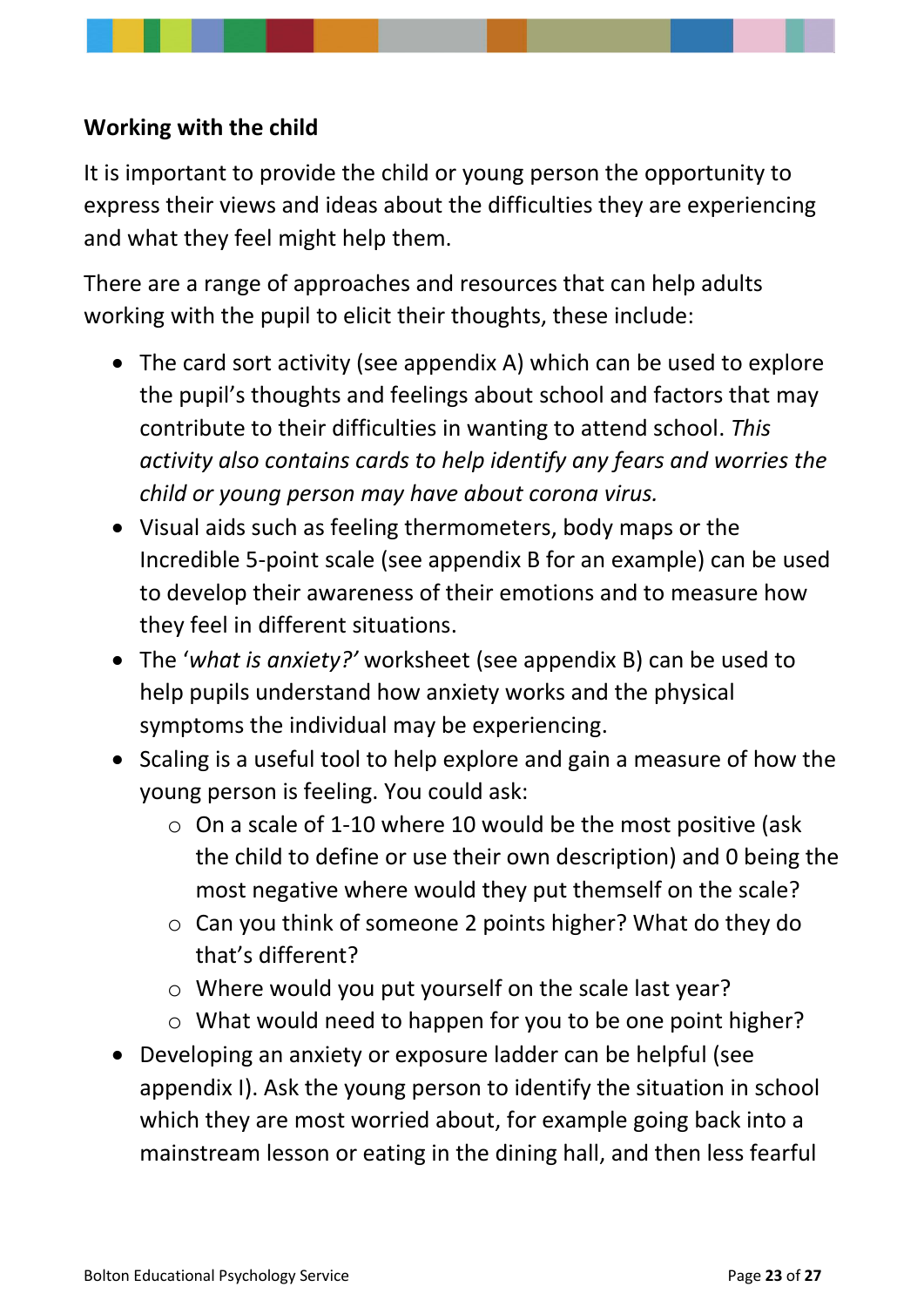### <span id="page-22-0"></span>**Working with the child**

It is important to provide the child or young person the opportunity to express their views and ideas about the difficulties they are experiencing and what they feel might help them.

There are a range of approaches and resources that can help adults working with the pupil to elicit their thoughts, these include:

- The card sort activity (see appendix A) which can be used to explore the pupil's thoughts and feelings about school and factors that may contribute to their difficulties in wanting to attend school. *This activity also contains cards to help identify any fears and worries the child or young person may have about corona virus.*
- Visual aids such as feeling thermometers, body maps or the Incredible 5-point scale (see appendix B for an example) can be used to develop their awareness of their emotions and to measure how they feel in different situations.
- The '*what is anxiety?'* worksheet (see appendix B) can be used to help pupils understand how anxiety works and the physical symptoms the individual may be experiencing.
- Scaling is a useful tool to help explore and gain a measure of how the young person is feeling. You could ask:
	- $\circ$  On a scale of 1-10 where 10 would be the most positive (ask the child to define or use their own description) and 0 being the most negative where would they put themself on the scale?
	- o Can you think of someone 2 points higher? What do they do that's different?
	- o Where would you put yourself on the scale last year?
	- o What would need to happen for you to be one point higher?
- Developing an anxiety or exposure ladder can be helpful (see appendix I). Ask the young person to identify the situation in school which they are most worried about, for example going back into a mainstream lesson or eating in the dining hall, and then less fearful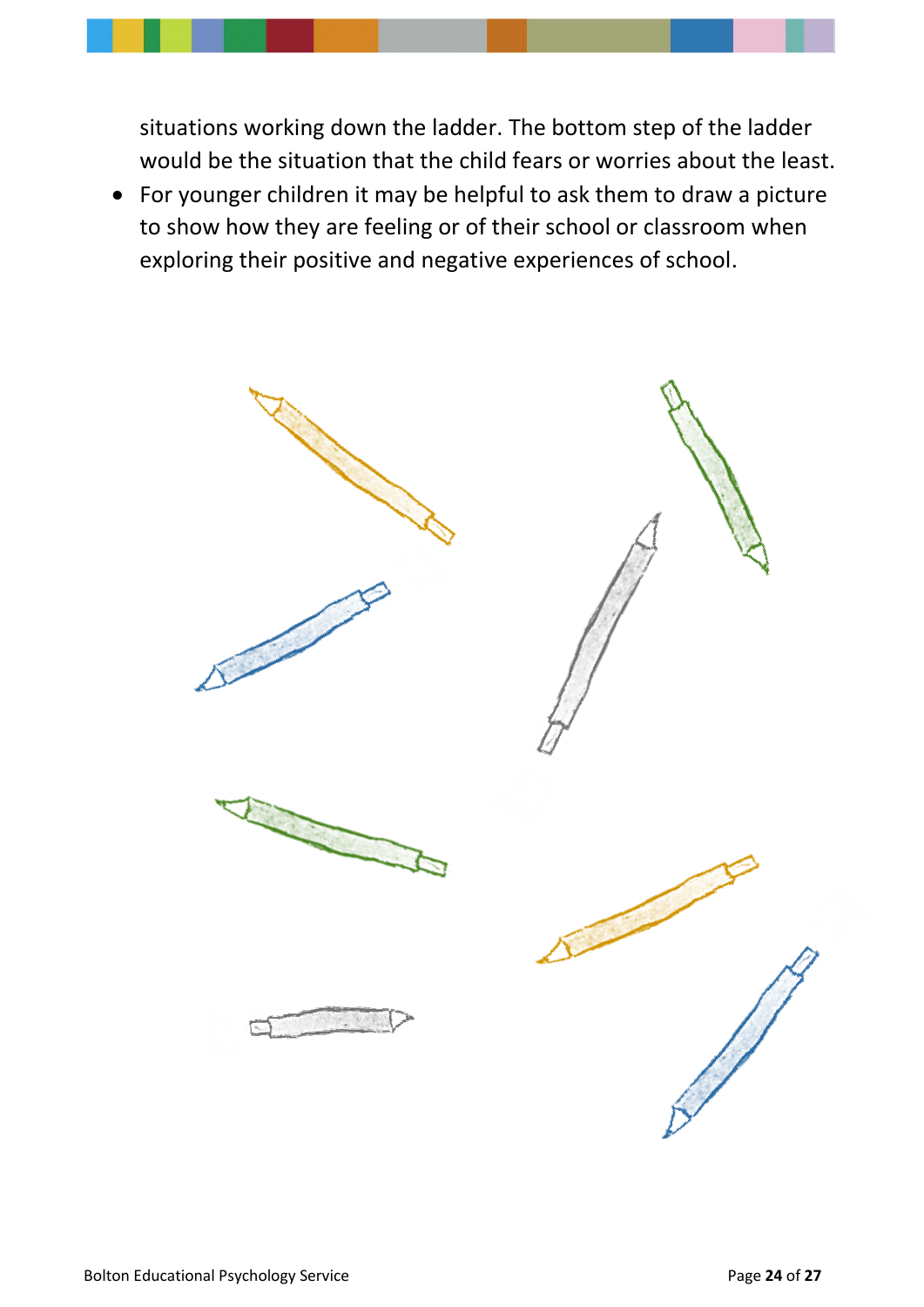situations working down the ladder. The bottom step of the ladder would be the situation that the child fears or worries about the least.

• For younger children it may be helpful to ask them to draw a picture to show how they are feeling or of their school or classroom when exploring their positive and negative experiences of school.

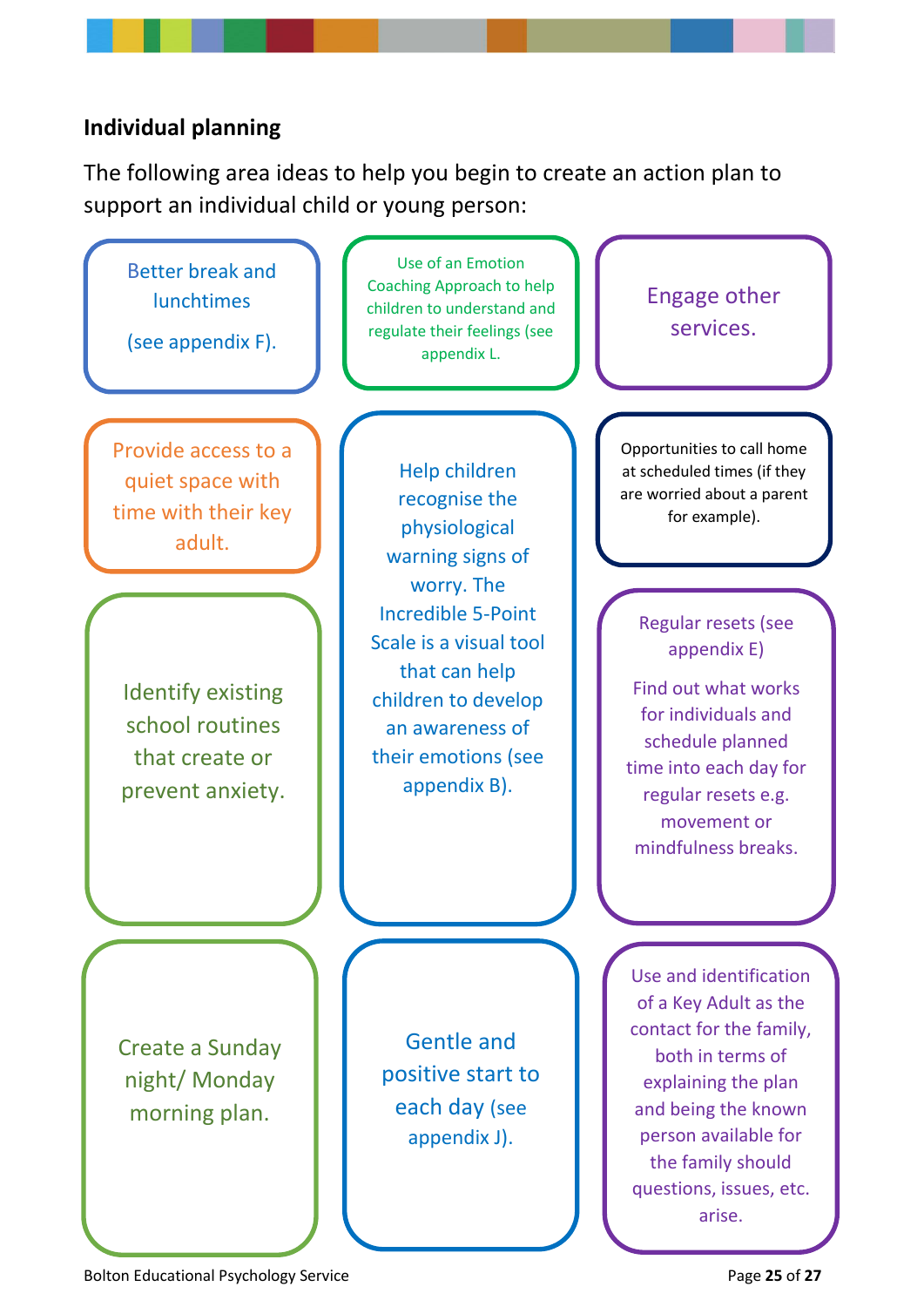#### <span id="page-24-0"></span>**Individual planning**

The following area ideas to help you begin to create an action plan to support an individual child or young person:

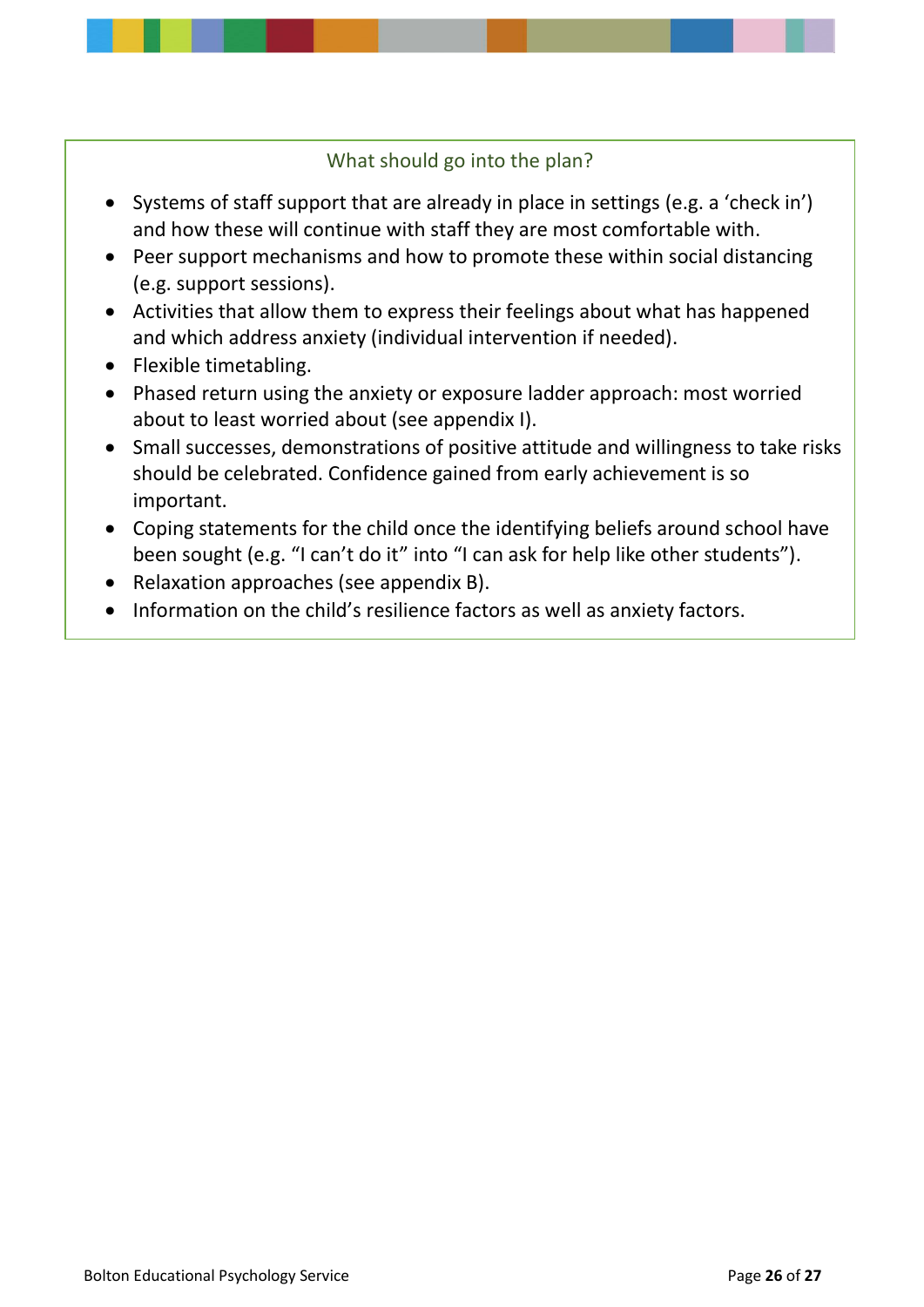#### What should go into the plan?

- Systems of staff support that are already in place in settings (e.g. a 'check in') and how these will continue with staff they are most comfortable with.
- Peer support mechanisms and how to promote these within social distancing (e.g. support sessions).
- Activities that allow them to express their feelings about what has happened and which address anxiety (individual intervention if needed).
- Flexible timetabling.
- Phased return using the anxiety or exposure ladder approach: most worried about to least worried about (see appendix I).
- Small successes, demonstrations of positive attitude and willingness to take risks should be celebrated. Confidence gained from early achievement is so important.
- Coping statements for the child once the identifying beliefs around school have been sought (e.g. "I can't do it" into "I can ask for help like other students").
- Relaxation approaches (see appendix B).
- Information on the child's resilience factors as well as anxiety factors.